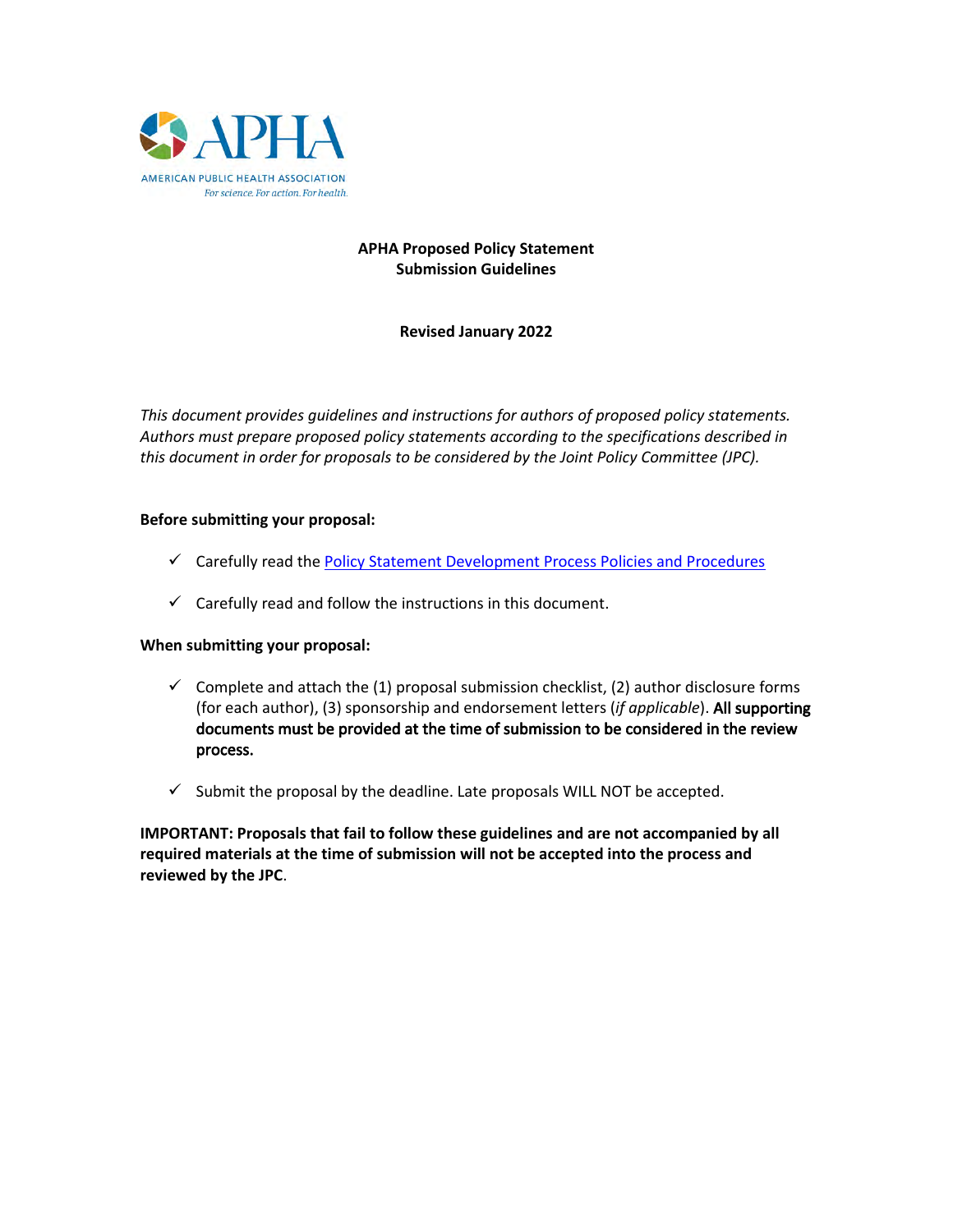

# **APHA Proposed Policy Statement Submission Guidelines**

# **Revised January 2022**

*This document provides guidelines and instructions for authors of proposed policy statements. Authors must prepare proposed policy statements according to the specifications described in this document in order for proposals to be considered by the Joint Policy Committee (JPC).* 

# **Before submitting your proposal:**

- ✓ Carefully read th[e Policy Statement Development Process Policies and Procedures](https://www.apha.org/-/media/files/pdf/policy/policy_statement_development_guidelines.ashx)
- $\checkmark$  Carefully read and follow the instructions in this document.

# **When submitting your proposal:**

- $\checkmark$  Complete and attach the (1) proposal submission checklist, (2) author disclosure forms (for each author), (3) sponsorship and endorsement letters (*if applicable*). All supporting documents must be provided at the time of submission to be considered in the review process.
- $\checkmark$  Submit the proposal by the deadline. Late proposals WILL NOT be accepted.

**IMPORTANT: Proposals that fail to follow these guidelines and are not accompanied by all required materials at the time of submission will not be accepted into the process and reviewed by the JPC**.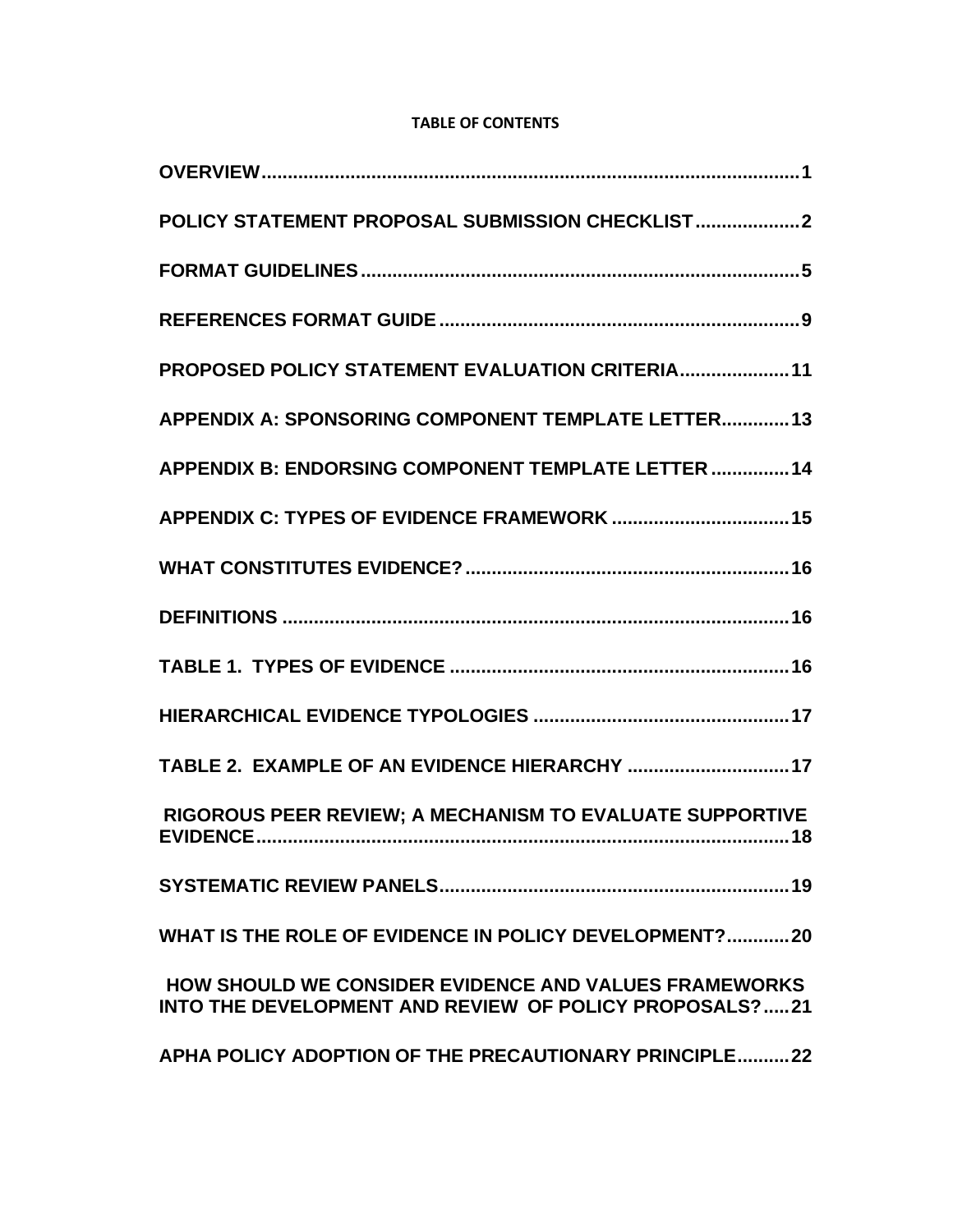# **TABLE OF CONTENTS**

| POLICY STATEMENT PROPOSAL SUBMISSION CHECKLIST2                                                                        |
|------------------------------------------------------------------------------------------------------------------------|
|                                                                                                                        |
|                                                                                                                        |
| PROPOSED POLICY STATEMENT EVALUATION CRITERIA 11                                                                       |
| APPENDIX A: SPONSORING COMPONENT TEMPLATE LETTER 13                                                                    |
| APPENDIX B: ENDORSING COMPONENT TEMPLATE LETTER  14                                                                    |
| APPENDIX C: TYPES OF EVIDENCE FRAMEWORK  15                                                                            |
|                                                                                                                        |
|                                                                                                                        |
|                                                                                                                        |
|                                                                                                                        |
| TABLE 2. EXAMPLE OF AN EVIDENCE HIERARCHY  17                                                                          |
| RIGOROUS PEER REVIEW; A MECHANISM TO EVALUATE SUPPORTIVE                                                               |
|                                                                                                                        |
| WHAT IS THE ROLE OF EVIDENCE IN POLICY DEVELOPMENT?20                                                                  |
| <b>HOW SHOULD WE CONSIDER EVIDENCE AND VALUES FRAMEWORKS</b><br>INTO THE DEVELOPMENT AND REVIEW OF POLICY PROPOSALS?21 |
| APHA POLICY ADOPTION OF THE PRECAUTIONARY PRINCIPLE22                                                                  |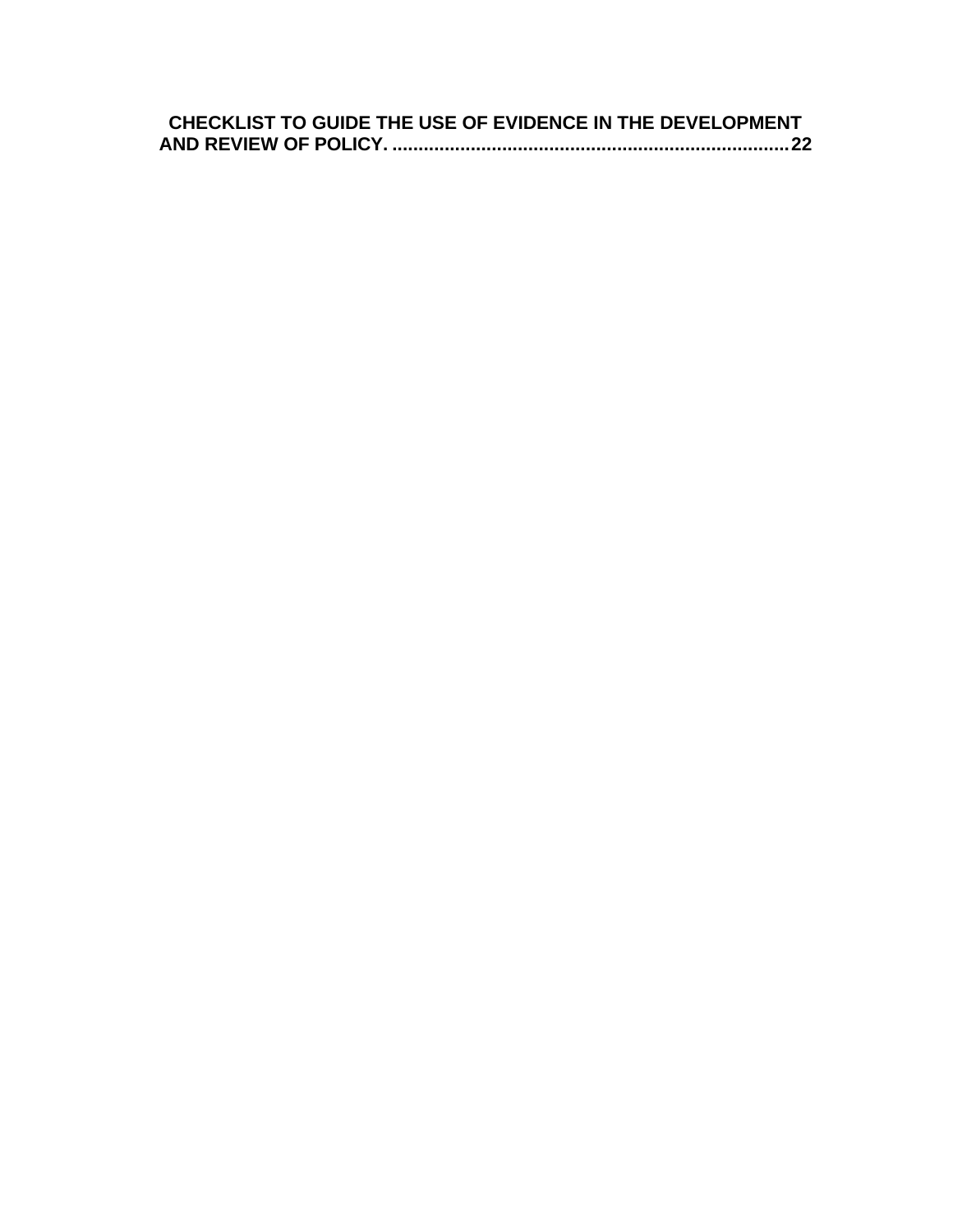| CHECKLIST TO GUIDE THE USE OF EVIDENCE IN THE DEVELOPMENT |
|-----------------------------------------------------------|
|                                                           |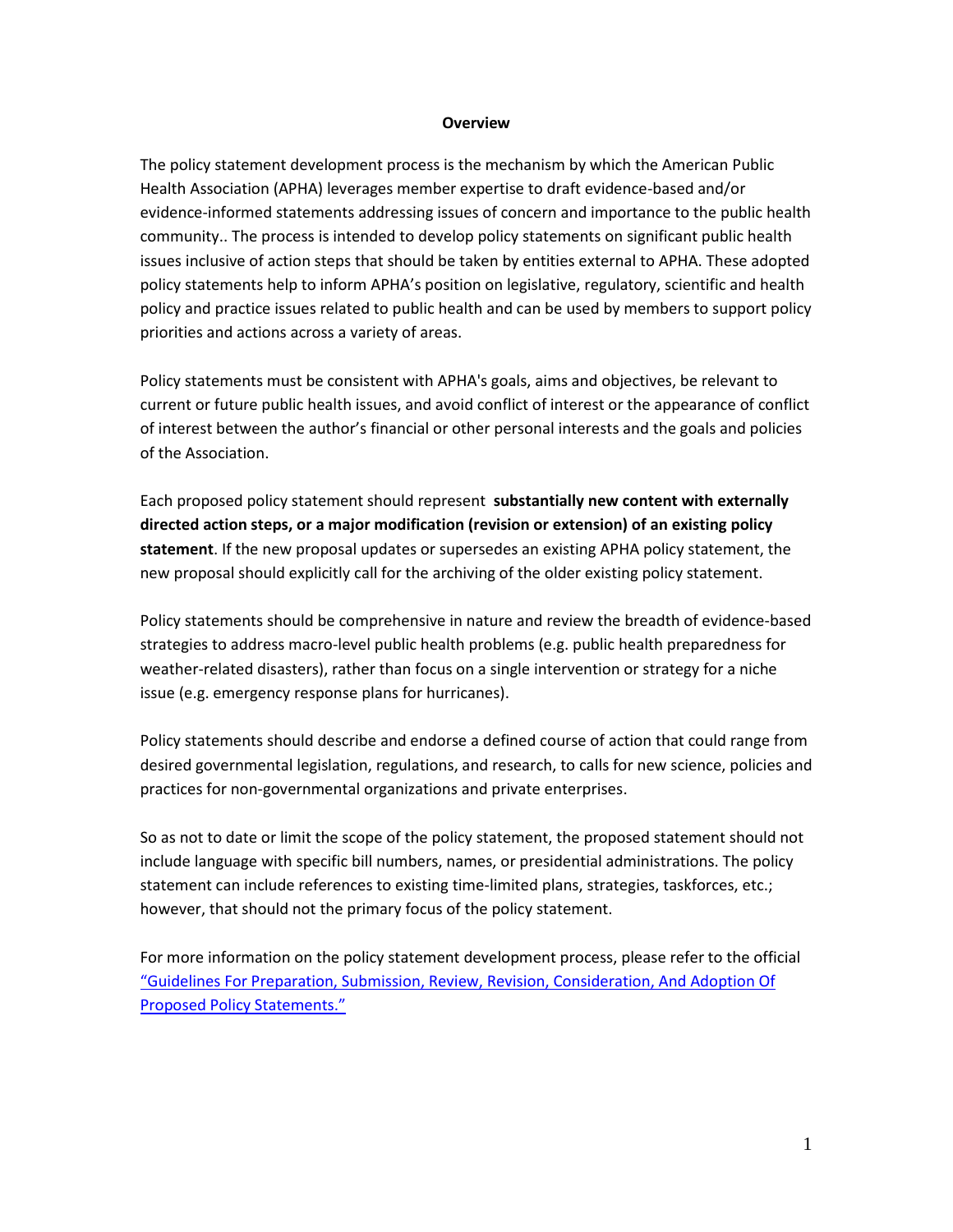#### **Overview**

<span id="page-3-0"></span>The policy statement development process is the mechanism by which the American Public Health Association (APHA) leverages member expertise to draft evidence-based and/or evidence-informed statements addressing issues of concern and importance to the public health community.. The process is intended to develop policy statements on significant public health issues inclusive of action steps that should be taken by entities external to APHA. These adopted policy statements help to inform APHA's position on legislative, regulatory, scientific and health policy and practice issues related to public health and can be used by members to support policy priorities and actions across a variety of areas.

Policy statements must be consistent with APHA's goals, aims and objectives, be relevant to current or future public health issues, and avoid conflict of interest or the appearance of conflict of interest between the author's financial or other personal interests and the goals and policies of the Association.

Each proposed policy statement should represent **substantially new content with externally directed action steps, or a major modification (revision or extension) of an existing policy statement**. If the new proposal updates or supersedes an existing APHA policy statement, the new proposal should explicitly call for the archiving of the older existing policy statement.

Policy statements should be comprehensive in nature and review the breadth of evidence-based strategies to address macro-level public health problems (e.g. public health preparedness for weather-related disasters), rather than focus on a single intervention or strategy for a niche issue (e.g. emergency response plans for hurricanes).

Policy statements should describe and endorse a defined course of action that could range from desired governmental legislation, regulations, and research, to calls for new science, policies and practices for non-governmental organizations and private enterprises.

So as not to date or limit the scope of the policy statement, the proposed statement should not include language with specific bill numbers, names, or presidential administrations. The policy statement can include references to existing time-limited plans, strategies, taskforces, etc.; however, that should not the primary focus of the policy statement.

For more information on the policy statement development process, please refer to the official "[Guidelines For Preparation, Submission, Review, Revision, Consideration, And Adoption Of](https://www.apha.org/-/media/files/pdf/policy/policy_statement_development_guidelines.ashx)  [Proposed Policy Statements.](https://www.apha.org/-/media/files/pdf/policy/policy_statement_development_guidelines.ashx?la=en&hash=3B07E06DEED4886CC585B60A575BBB1C1A118491)"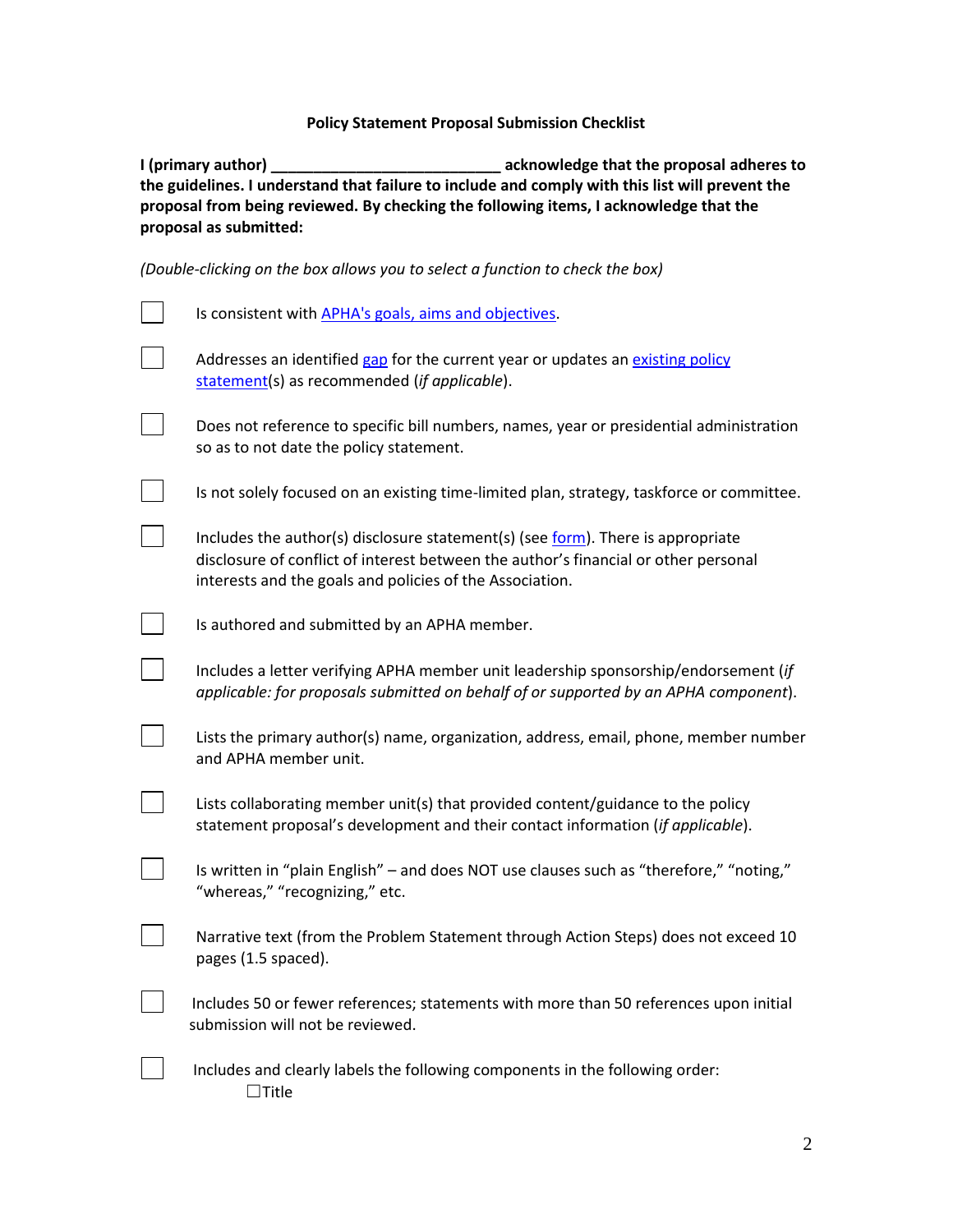## **Policy Statement Proposal Submission Checklist**

<span id="page-4-0"></span>**I (primary author) \_\_\_\_\_\_\_\_\_\_\_\_\_\_\_\_\_\_\_\_\_\_\_\_\_\_\_ acknowledge that the proposal adheres to the guidelines. I understand that failure to include and comply with this list will prevent the proposal from being reviewed. By checking the following items, I acknowledge that the proposal as submitted:** 

*(Double-clicking on the box allows you to select a function to check the box)* 

| Is consistent with APHA's goals, aims and objectives.                                                                                                                                                                              |
|------------------------------------------------------------------------------------------------------------------------------------------------------------------------------------------------------------------------------------|
| Addresses an identified gap for the current year or updates an existing policy<br>statement(s) as recommended (if applicable).                                                                                                     |
| Does not reference to specific bill numbers, names, year or presidential administration<br>so as to not date the policy statement.                                                                                                 |
| Is not solely focused on an existing time-limited plan, strategy, taskforce or committee.                                                                                                                                          |
| Includes the author(s) disclosure statement(s) (see form). There is appropriate<br>disclosure of conflict of interest between the author's financial or other personal<br>interests and the goals and policies of the Association. |
| Is authored and submitted by an APHA member.                                                                                                                                                                                       |
| Includes a letter verifying APHA member unit leadership sponsorship/endorsement (if<br>applicable: for proposals submitted on behalf of or supported by an APHA component).                                                        |
| Lists the primary author(s) name, organization, address, email, phone, member number<br>and APHA member unit.                                                                                                                      |
| Lists collaborating member unit(s) that provided content/guidance to the policy<br>statement proposal's development and their contact information (if applicable).                                                                 |
| Is written in "plain English" - and does NOT use clauses such as "therefore," "noting,"<br>"whereas," "recognizing," etc.                                                                                                          |
| Narrative text (from the Problem Statement through Action Steps) does not exceed 10<br>pages (1.5 spaced).                                                                                                                         |
| Includes 50 or fewer references; statements with more than 50 references upon initial<br>submission will not be reviewed.                                                                                                          |
| Includes and clearly labels the following components in the following order:<br>$\exists$ Title                                                                                                                                    |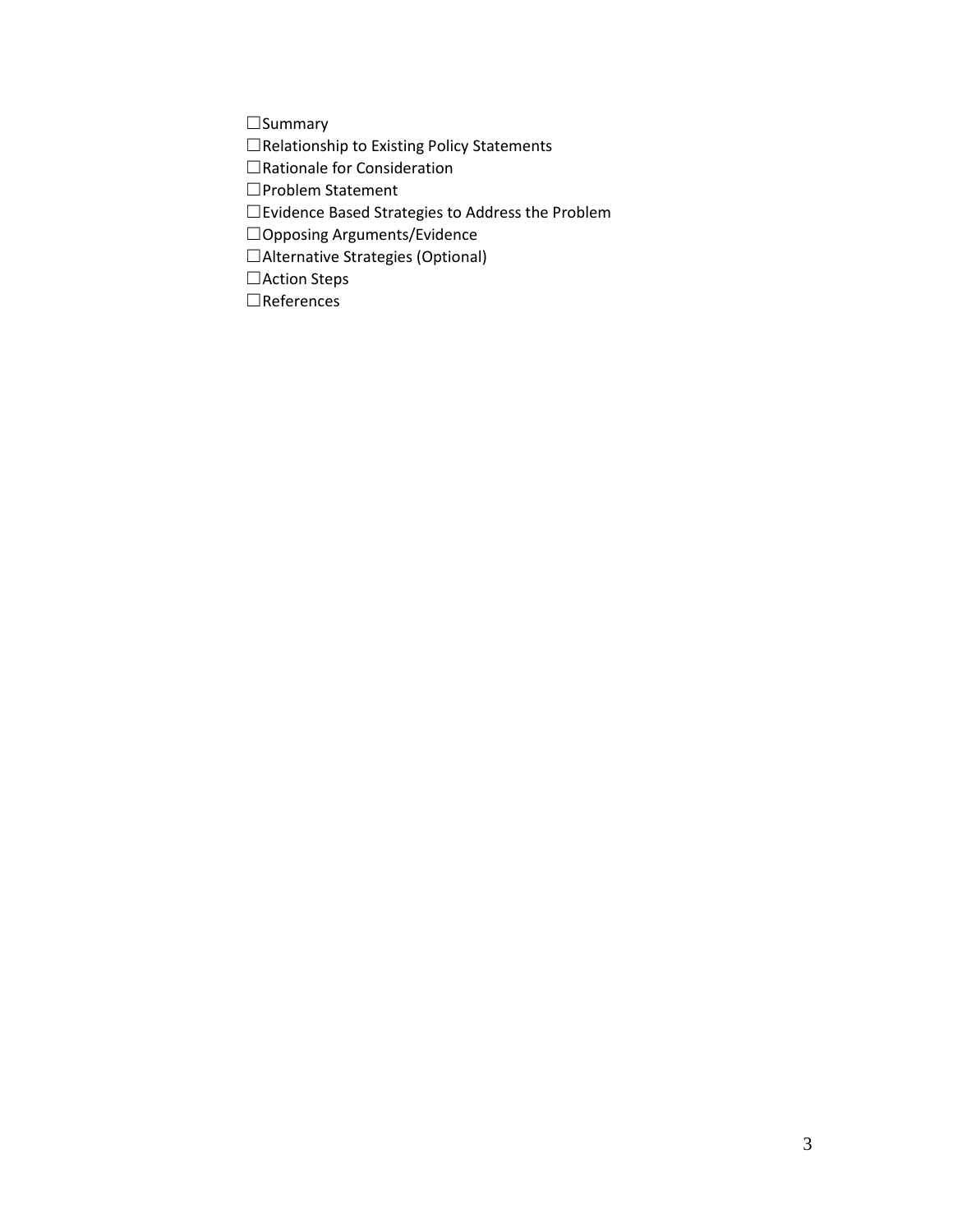☐Summary

- ☐Relationship to Existing Policy Statements
- ☐Rationale for Consideration
- ☐Problem Statement
- ☐Evidence Based Strategies to Address the Problem
- ☐Opposing Arguments/Evidence
- ☐Alternative Strategies (Optional)
- ☐Action Steps
- ☐References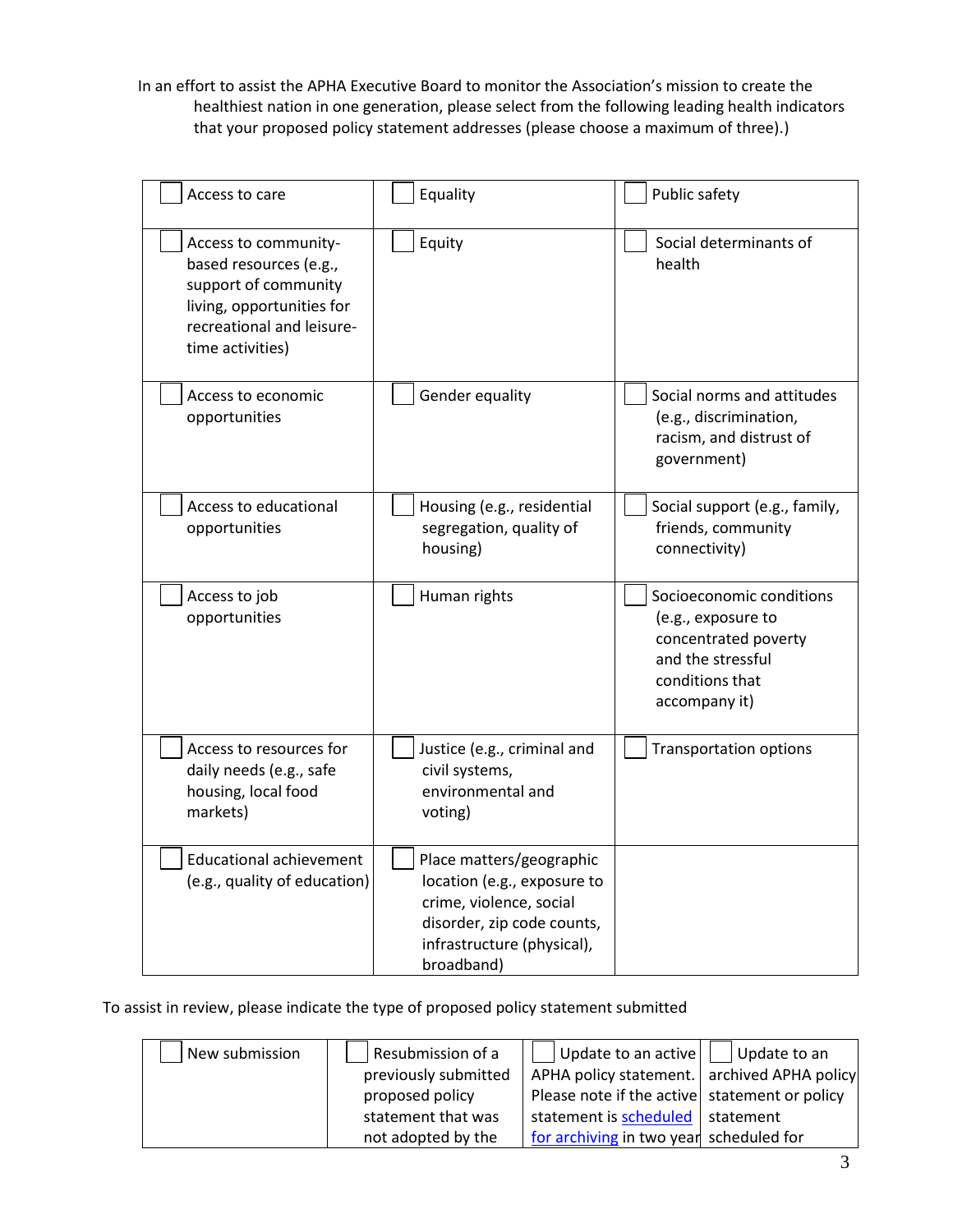In an effort to assist the APHA Executive Board to monitor the Association's mission to create the healthiest nation in one generation, please select from the following leading health indicators that your proposed policy statement addresses (please choose a maximum of three).)

| Access to care                                                                                                                                       | Equality                                                                                                                                                     | Public safety                                                                                                                   |
|------------------------------------------------------------------------------------------------------------------------------------------------------|--------------------------------------------------------------------------------------------------------------------------------------------------------------|---------------------------------------------------------------------------------------------------------------------------------|
| Access to community-<br>based resources (e.g.,<br>support of community<br>living, opportunities for<br>recreational and leisure-<br>time activities) | Equity                                                                                                                                                       | Social determinants of<br>health                                                                                                |
| Access to economic<br>opportunities                                                                                                                  | Gender equality                                                                                                                                              | Social norms and attitudes<br>(e.g., discrimination,<br>racism, and distrust of<br>government)                                  |
| Access to educational<br>opportunities                                                                                                               | Housing (e.g., residential<br>segregation, quality of<br>housing)                                                                                            | Social support (e.g., family,<br>friends, community<br>connectivity)                                                            |
| Access to job<br>opportunities                                                                                                                       | Human rights                                                                                                                                                 | Socioeconomic conditions<br>(e.g., exposure to<br>concentrated poverty<br>and the stressful<br>conditions that<br>accompany it) |
| Access to resources for<br>daily needs (e.g., safe<br>housing, local food<br>markets)                                                                | Justice (e.g., criminal and<br>civil systems,<br>environmental and<br>voting)                                                                                | <b>Transportation options</b>                                                                                                   |
| <b>Educational achievement</b><br>(e.g., quality of education)                                                                                       | Place matters/geographic<br>location (e.g., exposure to<br>crime, violence, social<br>disorder, zip code counts,<br>infrastructure (physical),<br>broadband) |                                                                                                                                 |

To assist in review, please indicate the type of proposed policy statement submitted

| New submission | Resubmission of a    | Update to an active                           | Update to an |
|----------------|----------------------|-----------------------------------------------|--------------|
|                | previously submitted | APHA policy statement.   archived APHA policy |              |
|                | proposed policy      | Please note if the active statement or policy |              |
|                | statement that was   | statement is scheduled   statement            |              |
|                | not adopted by the   | for archiving in two year scheduled for       |              |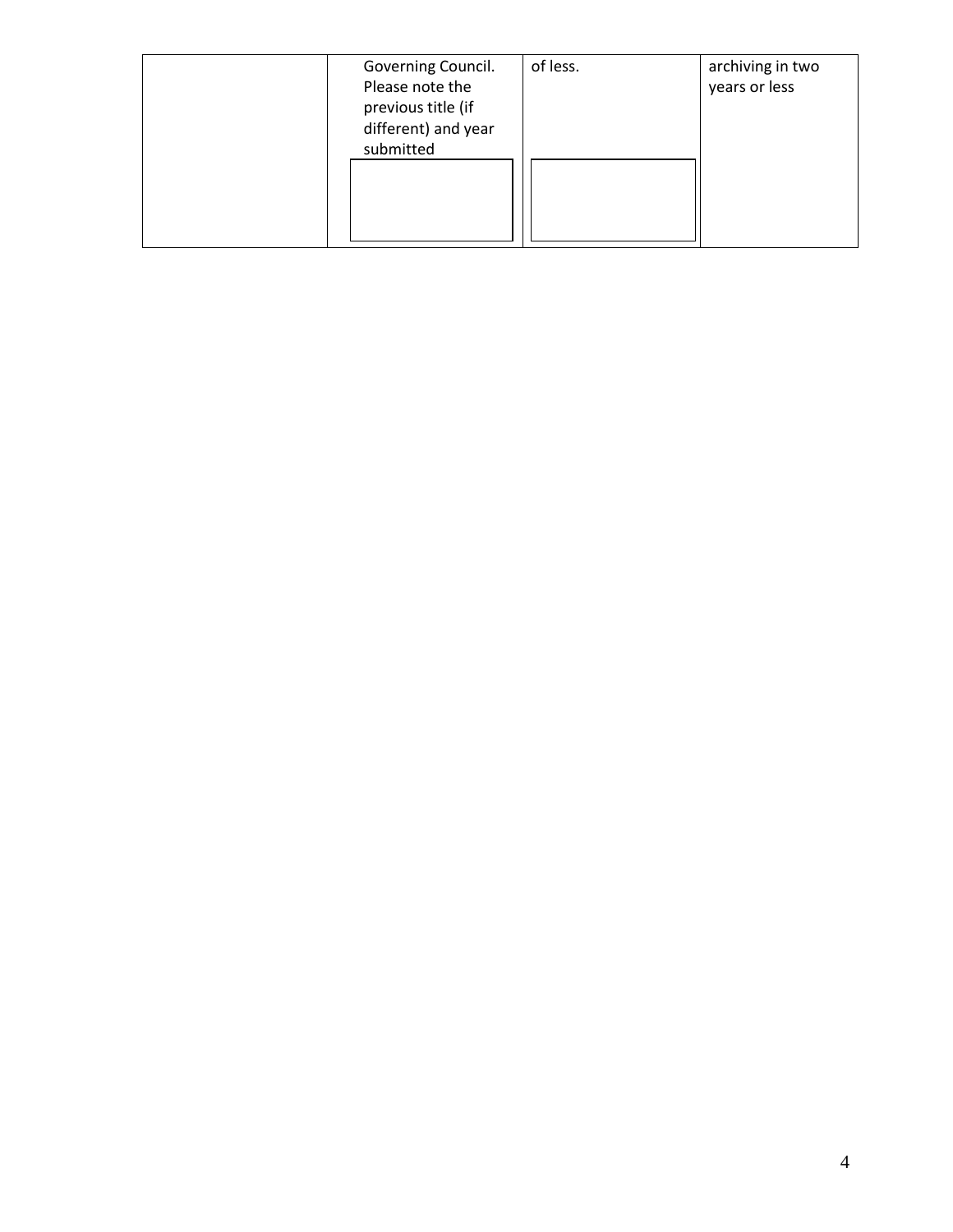| Governing Council.<br>Please note the<br>previous title (if<br>different) and year<br>submitted | of less. | archiving in two<br>years or less |
|-------------------------------------------------------------------------------------------------|----------|-----------------------------------|
|-------------------------------------------------------------------------------------------------|----------|-----------------------------------|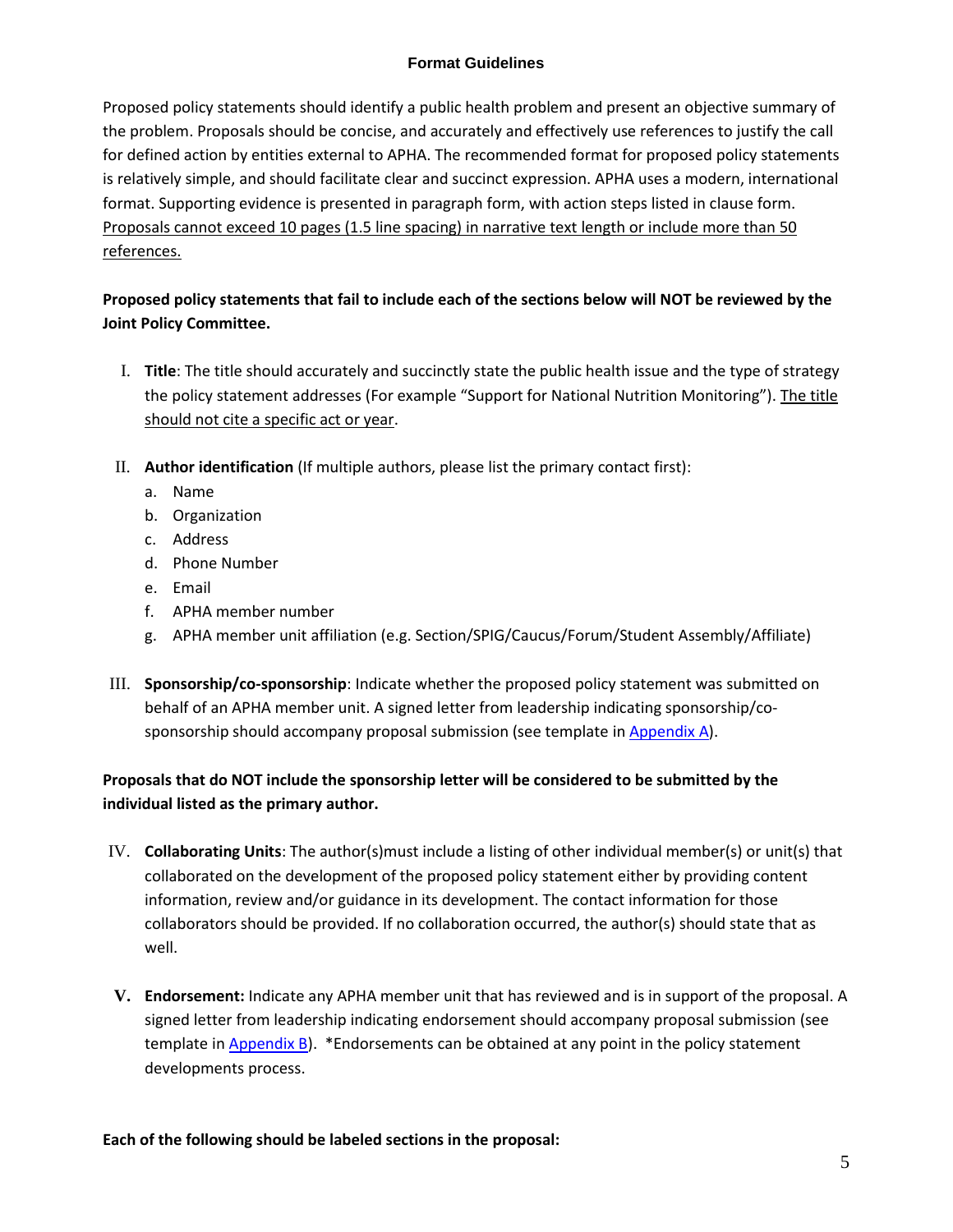# **Format Guidelines**

<span id="page-8-0"></span>Proposed policy statements should identify a public health problem and present an objective summary of the problem. Proposals should be concise, and accurately and effectively use references to justify the call for defined action by entities external to APHA. The recommended format for proposed policy statements is relatively simple, and should facilitate clear and succinct expression. APHA uses a modern, international format. Supporting evidence is presented in paragraph form, with action steps listed in clause form. Proposals cannot exceed 10 pages (1.5 line spacing) in narrative text length or include more than 50 references.

# **Proposed policy statements that fail to include each of the sections below will NOT be reviewed by the Joint Policy Committee.**

- I. **Title**: The title should accurately and succinctly state the public health issue and the type of strategy the policy statement addresses (For example "Support for National Nutrition Monitoring"). The title should not cite a specific act or year.
- II. **Author identification** (If multiple authors, please list the primary contact first):
	- a. Name
	- b. Organization
	- c. Address
	- d. Phone Number
	- e. Email
	- f. APHA member number
	- g. APHA member unit affiliation (e.g. Section/SPIG/Caucus/Forum/Student Assembly/Affiliate)
- III. **Sponsorship/co-sponsorship**: Indicate whether the proposed policy statement was submitted on behalf of an APHA member unit. A signed letter from leadership indicating sponsorship/cosponsorship should accompany proposal submission (see template i[n Appendix A\)](#page-16-0).

# **Proposals that do NOT include the sponsorship letter will be considered to be submitted by the individual listed as the primary author.**

- IV. **Collaborating Units**: The author(s)must include a listing of other individual member(s) or unit(s) that collaborated on the development of the proposed policy statement either by providing content information, review and/or guidance in its development. The contact information for those collaborators should be provided. If no collaboration occurred, the author(s) should state that as well.
- **V. Endorsement:** Indicate any APHA member unit that has reviewed and is in support of the proposal. A signed letter from leadership indicating endorsement should accompany proposal submission (see template in  $\Delta p$  and  $\Delta p$ . \*Endorsements can be obtained at any point in the policy statement developments process.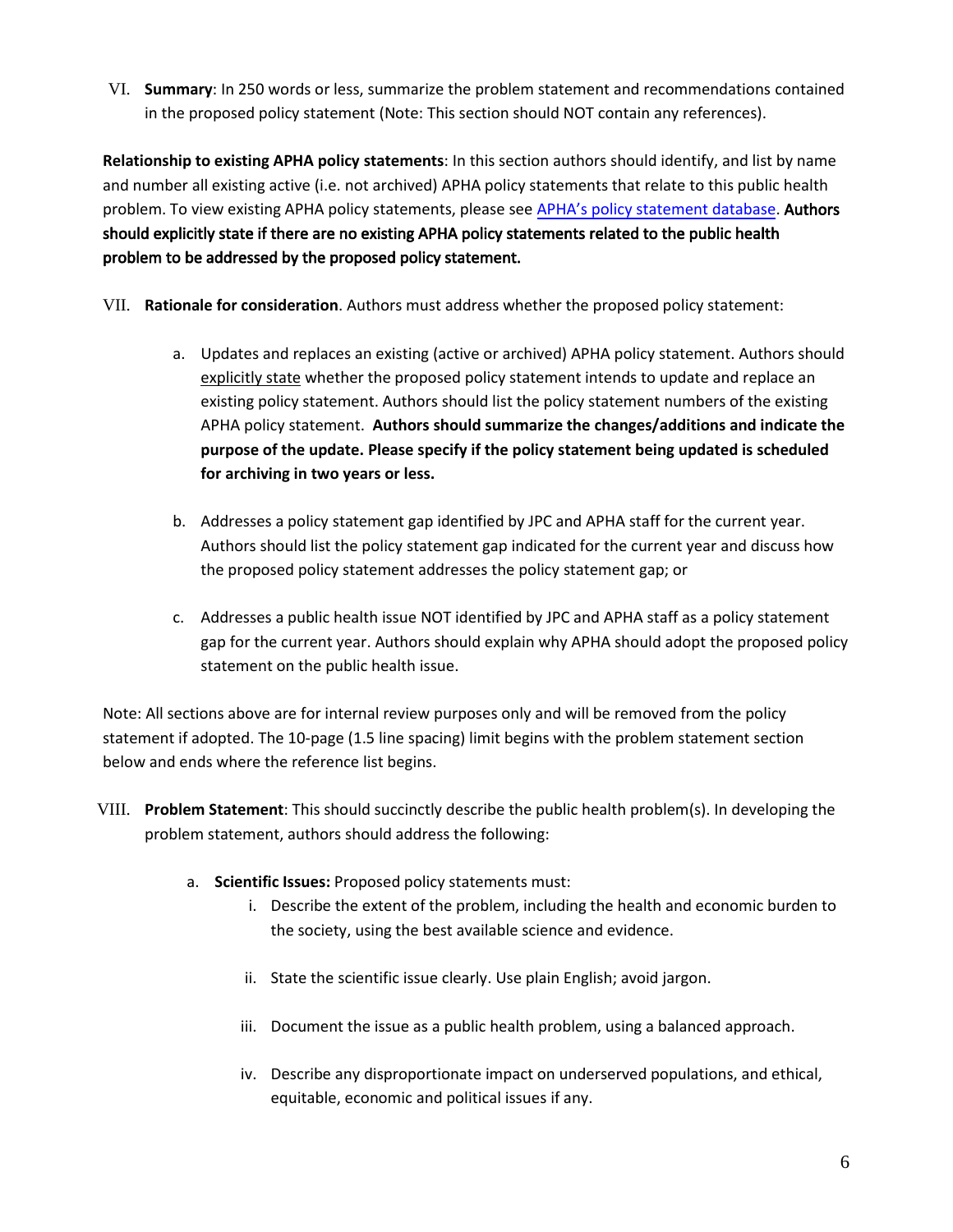VI. **Summary**: In 250 words or less, summarize the problem statement and recommendations contained in the proposed policy statement (Note: This section should NOT contain any references).

**Relationship to existing APHA policy statements**: In this section authors should identify, and list by name and number all existing active (i.e. not archived) APHA policy statements that relate to this public health problem. To view existing APHA policy statements, please see [APHA's policy statemen](http://www.apha.org/policies-and-advocacy/public-health-policy-statements/policy-database)t database. Authors should explicitly state if there are no existing APHA policy statements related to the public health problem to be addressed by the proposed policy statement.

- VII. **Rationale for consideration**. Authors must address whether the proposed policy statement:
	- a. Updates and replaces an existing (active or archived) APHA policy statement. Authors should explicitly state whether the proposed policy statement intends to update and replace an existing policy statement. Authors should list the policy statement numbers of the existing APHA policy statement. **Authors should summarize the changes/additions and indicate the purpose of the update. Please specify if the policy statement being updated is scheduled for archiving in two years or less.**
	- b. Addresses a policy statement gap identified by JPC and APHA staff for the current year. Authors should list the policy statement gap indicated for the current year and discuss how the proposed policy statement addresses the policy statement gap; or
	- c. Addresses a public health issue NOT identified by JPC and APHA staff as a policy statement gap for the current year. Authors should explain why APHA should adopt the proposed policy statement on the public health issue.

Note: All sections above are for internal review purposes only and will be removed from the policy statement if adopted. The 10-page (1.5 line spacing) limit begins with the problem statement section below and ends where the reference list begins.

- VIII. **Problem Statement**: This should succinctly describe the public health problem(s). In developing the problem statement, authors should address the following:
	- a. **Scientific Issues:** Proposed policy statements must:
		- i. Describe the extent of the problem, including the health and economic burden to the society, using the best available science and evidence.
		- ii. State the scientific issue clearly. Use plain English; avoid jargon.
		- iii. Document the issue as a public health problem, using a balanced approach.
		- iv. Describe any disproportionate impact on underserved populations, and ethical, equitable, economic and political issues if any.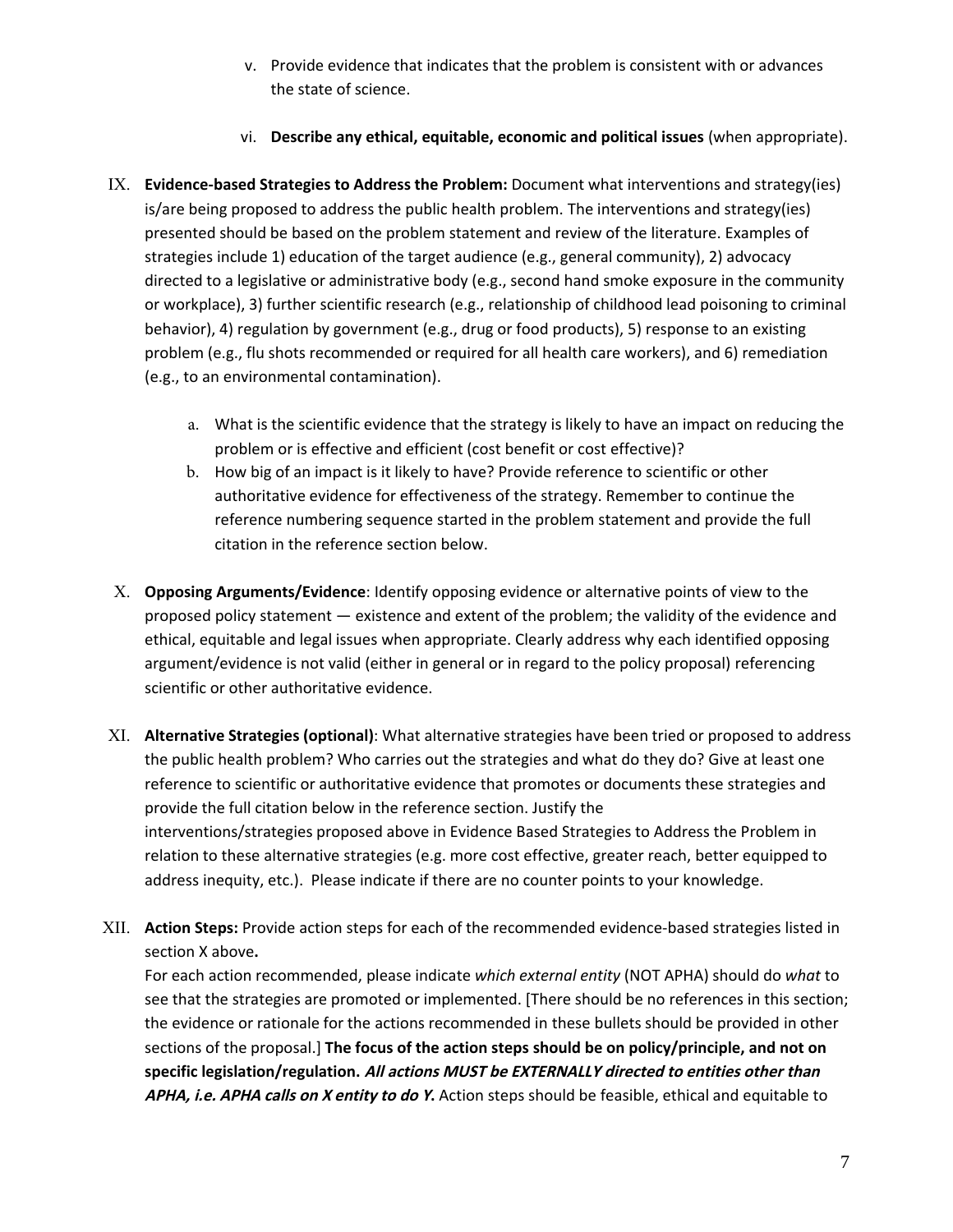- v. Provide evidence that indicates that the problem is consistent with or advances the state of science.
- vi. **Describe any ethical, equitable, economic and political issues** (when appropriate).
- IX. **Evidence-based Strategies to Address the Problem:** Document what interventions and strategy(ies) is/are being proposed to address the public health problem. The interventions and strategy(ies) presented should be based on the problem statement and review of the literature. Examples of strategies include 1) education of the target audience (e.g., general community), 2) advocacy directed to a legislative or administrative body (e.g., second hand smoke exposure in the community or workplace), 3) further scientific research (e.g., relationship of childhood lead poisoning to criminal behavior), 4) regulation by government (e.g., drug or food products), 5) response to an existing problem (e.g., flu shots recommended or required for all health care workers), and 6) remediation (e.g., to an environmental contamination).
	- a. What is the scientific evidence that the strategy is likely to have an impact on reducing the problem or is effective and efficient (cost benefit or cost effective)?
	- b. How big of an impact is it likely to have? Provide reference to scientific or other authoritative evidence for effectiveness of the strategy. Remember to continue the reference numbering sequence started in the problem statement and provide the full citation in the reference section below.
- X. **Opposing Arguments/Evidence**: Identify opposing evidence or alternative points of view to the proposed policy statement — existence and extent of the problem; the validity of the evidence and ethical, equitable and legal issues when appropriate. Clearly address why each identified opposing argument/evidence is not valid (either in general or in regard to the policy proposal) referencing scientific or other authoritative evidence.
- XI. **Alternative Strategies (optional)**: What alternative strategies have been tried or proposed to address the public health problem? Who carries out the strategies and what do they do? Give at least one reference to scientific or authoritative evidence that promotes or documents these strategies and provide the full citation below in the reference section. Justify the interventions/strategies proposed above in Evidence Based Strategies to Address the Problem in relation to these alternative strategies (e.g. more cost effective, greater reach, better equipped to address inequity, etc.). Please indicate if there are no counter points to your knowledge.
- XII. **Action Steps:** Provide action steps for each of the recommended evidence-based strategies listed in section X above**.**

For each action recommended, please indicate *which external entity* (NOT APHA) should do *what* to see that the strategies are promoted or implemented. [There should be no references in this section; the evidence or rationale for the actions recommended in these bullets should be provided in other sections of the proposal.] **The focus of the action steps should be on policy/principle, and not on specific legislation/regulation. All actions MUST be EXTERNALLY directed to entities other than APHA, i.e. APHA calls on X entity to do Y.** Action steps should be feasible, ethical and equitable to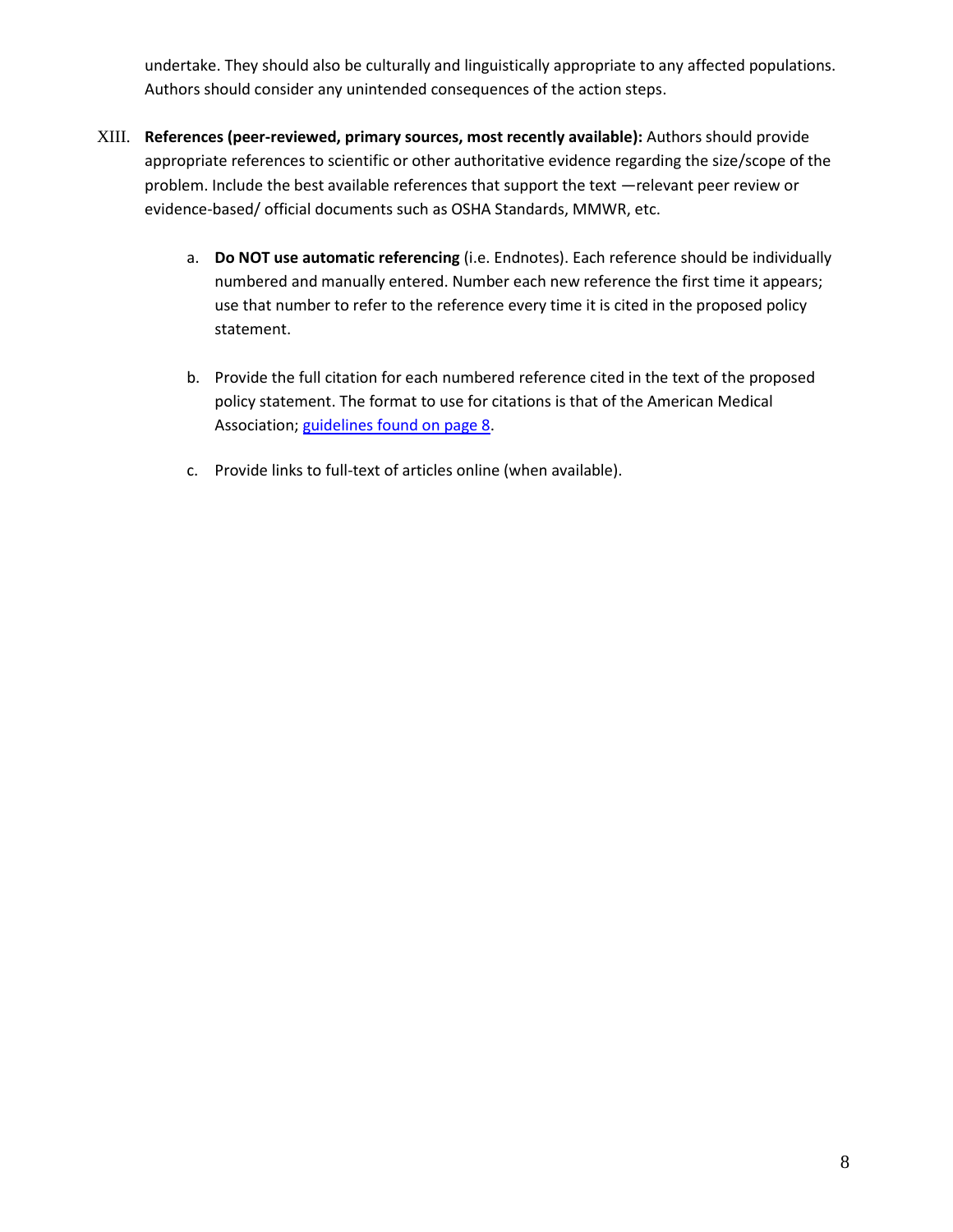undertake. They should also be culturally and linguistically appropriate to any affected populations. Authors should consider any unintended consequences of the action steps.

- XIII. **References (peer-reviewed, primary sources, most recently available):** Authors should provide appropriate references to scientific or other authoritative evidence regarding the size/scope of the problem. Include the best available references that support the text —relevant peer review or evidence-based/ official documents such as OSHA Standards, MMWR, etc.
	- a. **Do NOT use automatic referencing** (i.e. Endnotes). Each reference should be individually numbered and manually entered. Number each new reference the first time it appears; use that number to refer to the reference every time it is cited in the proposed policy statement.
	- b. Provide the full citation for each numbered reference cited in the text of the proposed policy statement. The format to use for citations is that of the American Medical Association[; guidelines found on page 8.](#page-12-0)
	- c. Provide links to full-text of articles online (when available).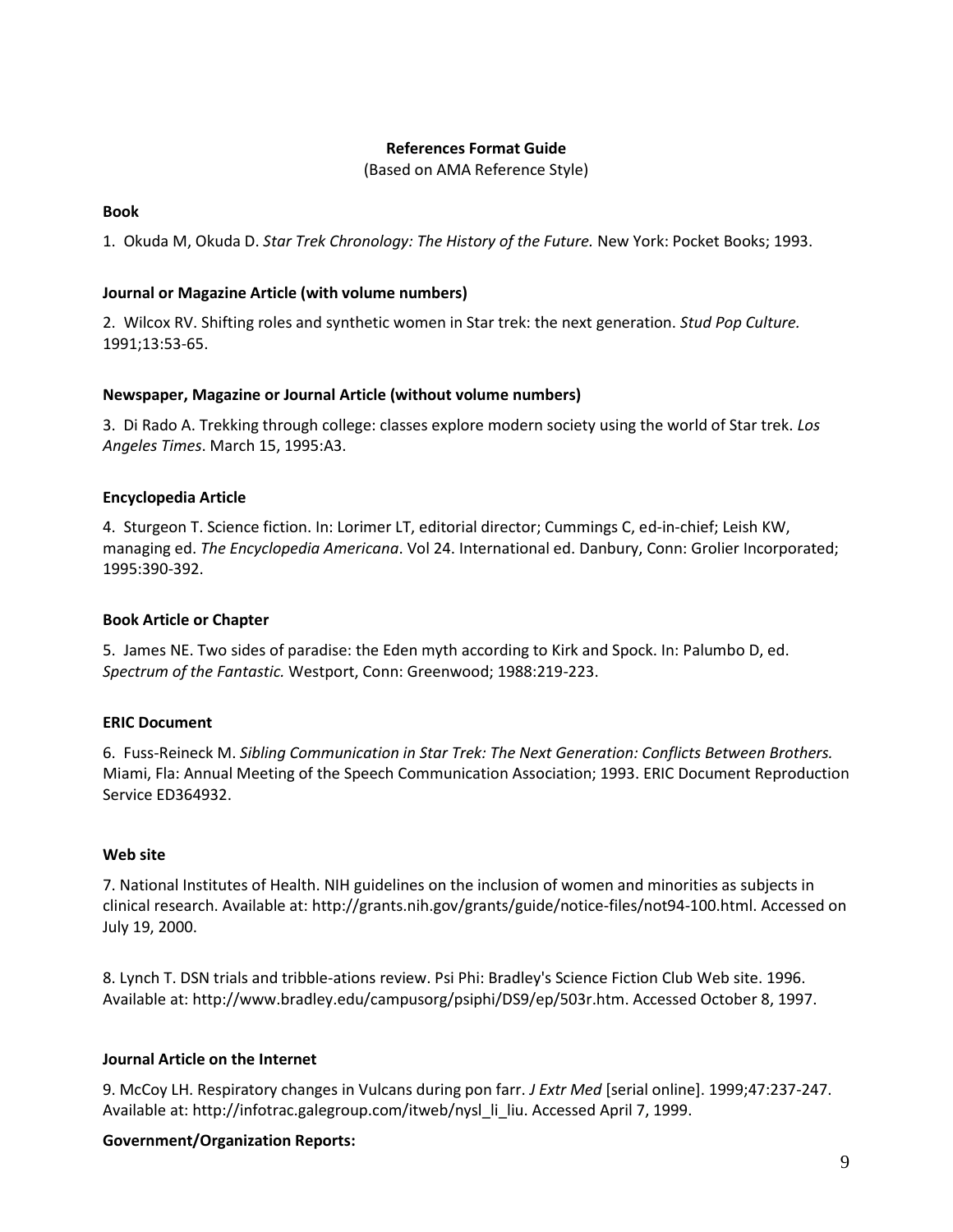# **References Format Guide**

(Based on AMA Reference Style)

## <span id="page-12-0"></span>**Book**

1. Okuda M, Okuda D. *Star Trek Chronology: The History of the Future.* New York: Pocket Books; 1993.

## **Journal or Magazine Article (with volume numbers)**

2. Wilcox RV. Shifting roles and synthetic women in Star trek: the next generation. *Stud Pop Culture.* 1991;13:53-65.

#### **Newspaper, Magazine or Journal Article (without volume numbers)**

3. Di Rado A. Trekking through college: classes explore modern society using the world of Star trek. *Los Angeles Times*. March 15, 1995:A3.

# **Encyclopedia Article**

4. Sturgeon T. Science fiction. In: Lorimer LT, editorial director; Cummings C, ed-in-chief; Leish KW, managing ed. *The Encyclopedia Americana*. Vol 24. International ed. Danbury, Conn: Grolier Incorporated; 1995:390-392.

#### **Book Article or Chapter**

5. James NE. Two sides of paradise: the Eden myth according to Kirk and Spock. In: Palumbo D, ed. *Spectrum of the Fantastic.* Westport, Conn: Greenwood; 1988:219-223.

# **ERIC Document**

6. Fuss-Reineck M. *Sibling Communication in Star Trek: The Next Generation: Conflicts Between Brothers.* Miami, Fla: Annual Meeting of the Speech Communication Association; 1993. ERIC Document Reproduction Service ED364932.

#### **Web site**

7. National Institutes of Health. NIH guidelines on the inclusion of women and minorities as subjects in clinical research. Available at: http://grants.nih.gov/grants/guide/notice-files/not94-100.html. Accessed on July 19, 2000.

8. Lynch T. DSN trials and tribble-ations review. Psi Phi: Bradley's Science Fiction Club Web site. 1996. Available at: http://www.bradley.edu/campusorg/psiphi/DS9/ep/503r.htm. Accessed October 8, 1997.

#### **Journal Article on the Internet**

9. McCoy LH. Respiratory changes in Vulcans during pon farr. *J Extr Med* [serial online]. 1999;47:237-247. Available at: http://infotrac.galegroup.com/itweb/nysl\_li\_liu. Accessed April 7, 1999.

# **Government/Organization Reports:**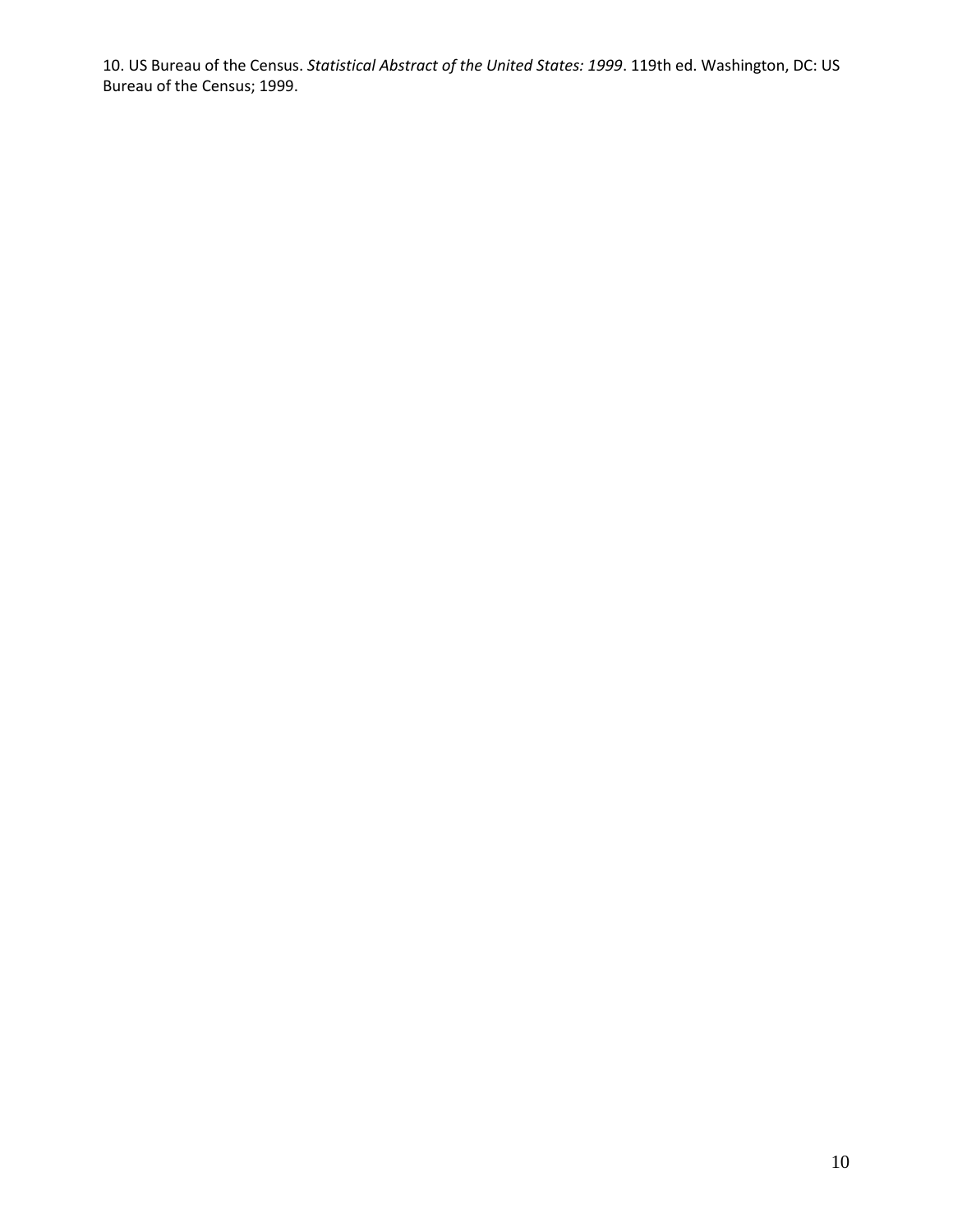<span id="page-13-0"></span>10. US Bureau of the Census. *Statistical Abstract of the United States: 1999*. 119th ed. Washington, DC: US Bureau of the Census; 1999.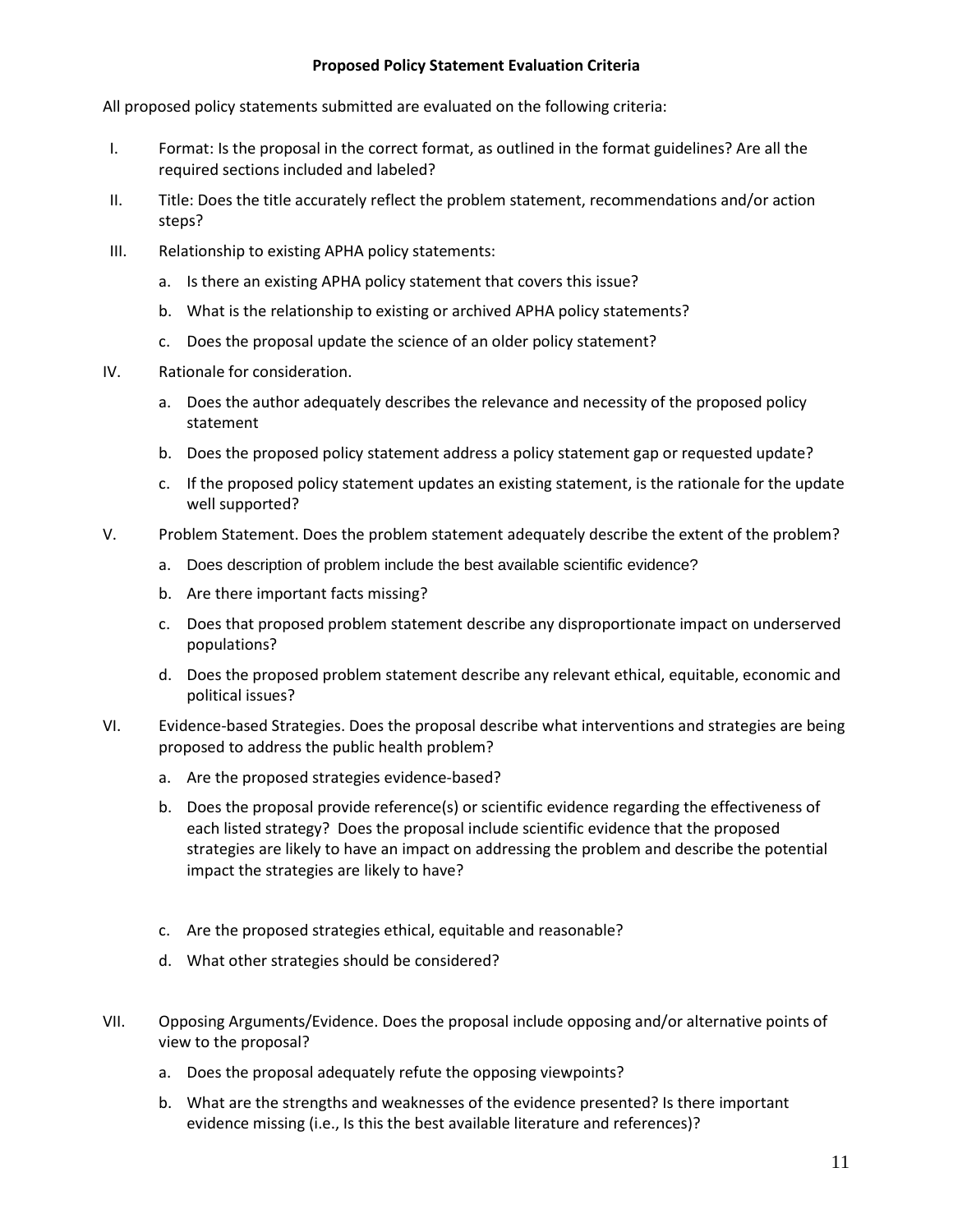## **Proposed Policy Statement Evaluation Criteria**

All proposed policy statements submitted are evaluated on the following criteria:

- I. Format: Is the proposal in the correct format, as outlined in the format guidelines? Are all the required sections included and labeled?
- II. Title: Does the title accurately reflect the problem statement, recommendations and/or action steps?
- III. Relationship to existing APHA policy statements:
	- a. Is there an existing APHA policy statement that covers this issue?
	- b. What is the relationship to existing or archived APHA policy statements?
	- c. Does the proposal update the science of an older policy statement?
- IV. Rationale for consideration.
	- a. Does the author adequately describes the relevance and necessity of the proposed policy statement
	- b. Does the proposed policy statement address a policy statement gap or requested update?
	- c. If the proposed policy statement updates an existing statement, is the rationale for the update well supported?
- V. Problem Statement. Does the problem statement adequately describe the extent of the problem?
	- a. Does description of problem include the best available scientific evidence?
	- b. Are there important facts missing?
	- c. Does that proposed problem statement describe any disproportionate impact on underserved populations?
	- d. Does the proposed problem statement describe any relevant ethical, equitable, economic and political issues?
- VI. Evidence-based Strategies. Does the proposal describe what interventions and strategies are being proposed to address the public health problem?
	- a. Are the proposed strategies evidence-based?
	- b. Does the proposal provide reference(s) or scientific evidence regarding the effectiveness of each listed strategy? Does the proposal include scientific evidence that the proposed strategies are likely to have an impact on addressing the problem and describe the potential impact the strategies are likely to have?
	- c. Are the proposed strategies ethical, equitable and reasonable?
	- d. What other strategies should be considered?
- VII. Opposing Arguments/Evidence. Does the proposal include opposing and/or alternative points of view to the proposal?
	- a. Does the proposal adequately refute the opposing viewpoints?
	- b. What are the strengths and weaknesses of the evidence presented? Is there important evidence missing (i.e., Is this the best available literature and references)?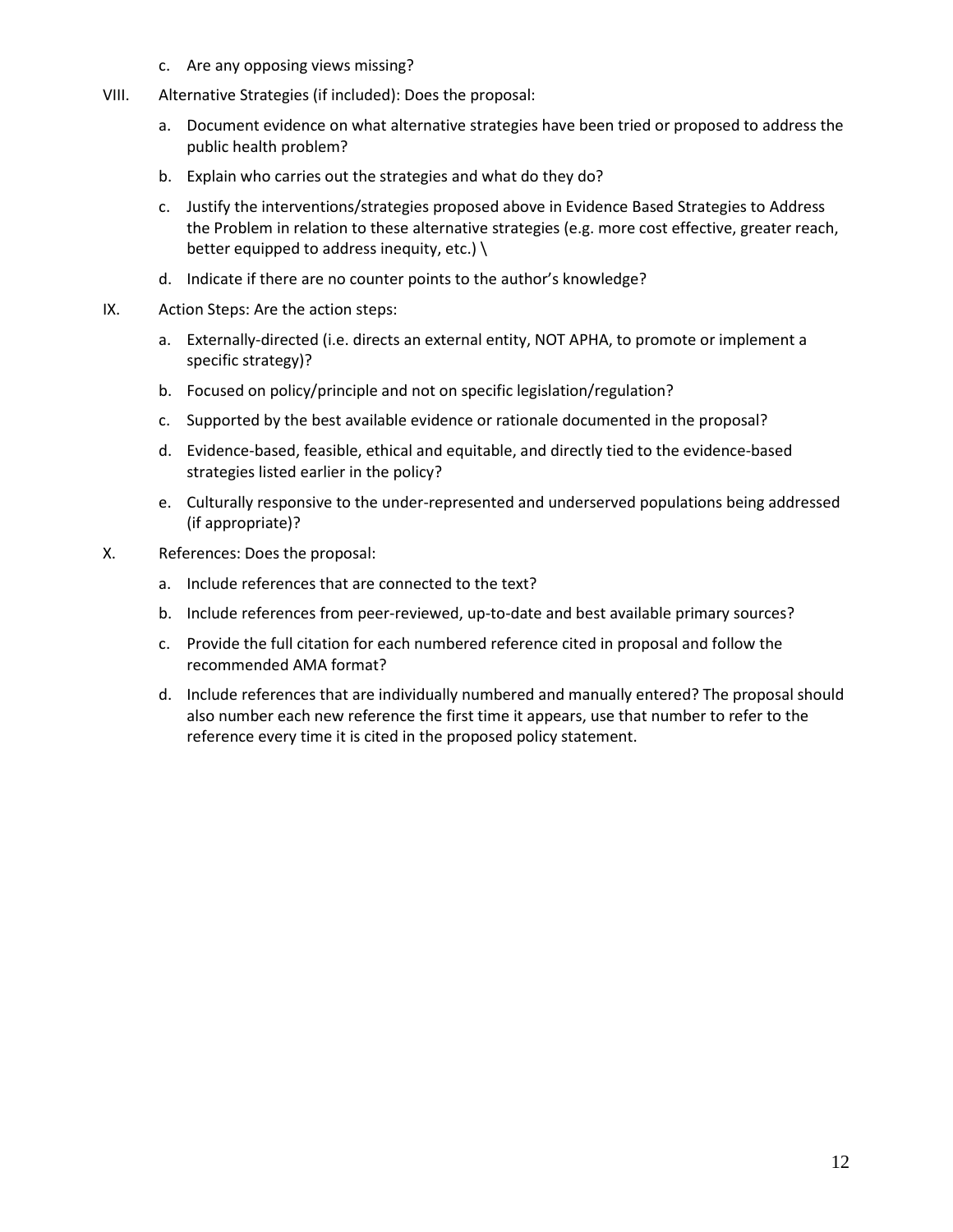- c. Are any opposing views missing?
- VIII. Alternative Strategies (if included): Does the proposal:
	- a. Document evidence on what alternative strategies have been tried or proposed to address the public health problem?
	- b. Explain who carries out the strategies and what do they do?
	- c. Justify the interventions/strategies proposed above in Evidence Based Strategies to Address the Problem in relation to these alternative strategies (e.g. more cost effective, greater reach, better equipped to address inequity, etc.)  $\setminus$
	- d. Indicate if there are no counter points to the author's knowledge?
- IX. Action Steps: Are the action steps:
	- a. Externally-directed (i.e. directs an external entity, NOT APHA, to promote or implement a specific strategy)?
	- b. Focused on policy/principle and not on specific legislation/regulation?
	- c. Supported by the best available evidence or rationale documented in the proposal?
	- d. Evidence-based, feasible, ethical and equitable, and directly tied to the evidence-based strategies listed earlier in the policy?
	- e. Culturally responsive to the under-represented and underserved populations being addressed (if appropriate)?
- X. References: Does the proposal:
	- a. Include references that are connected to the text?
	- b. Include references from peer-reviewed, up-to-date and best available primary sources?
	- c. Provide the full citation for each numbered reference cited in proposal and follow the recommended AMA format?
	- d. Include references that are individually numbered and manually entered? The proposal should also number each new reference the first time it appears, use that number to refer to the reference every time it is cited in the proposed policy statement.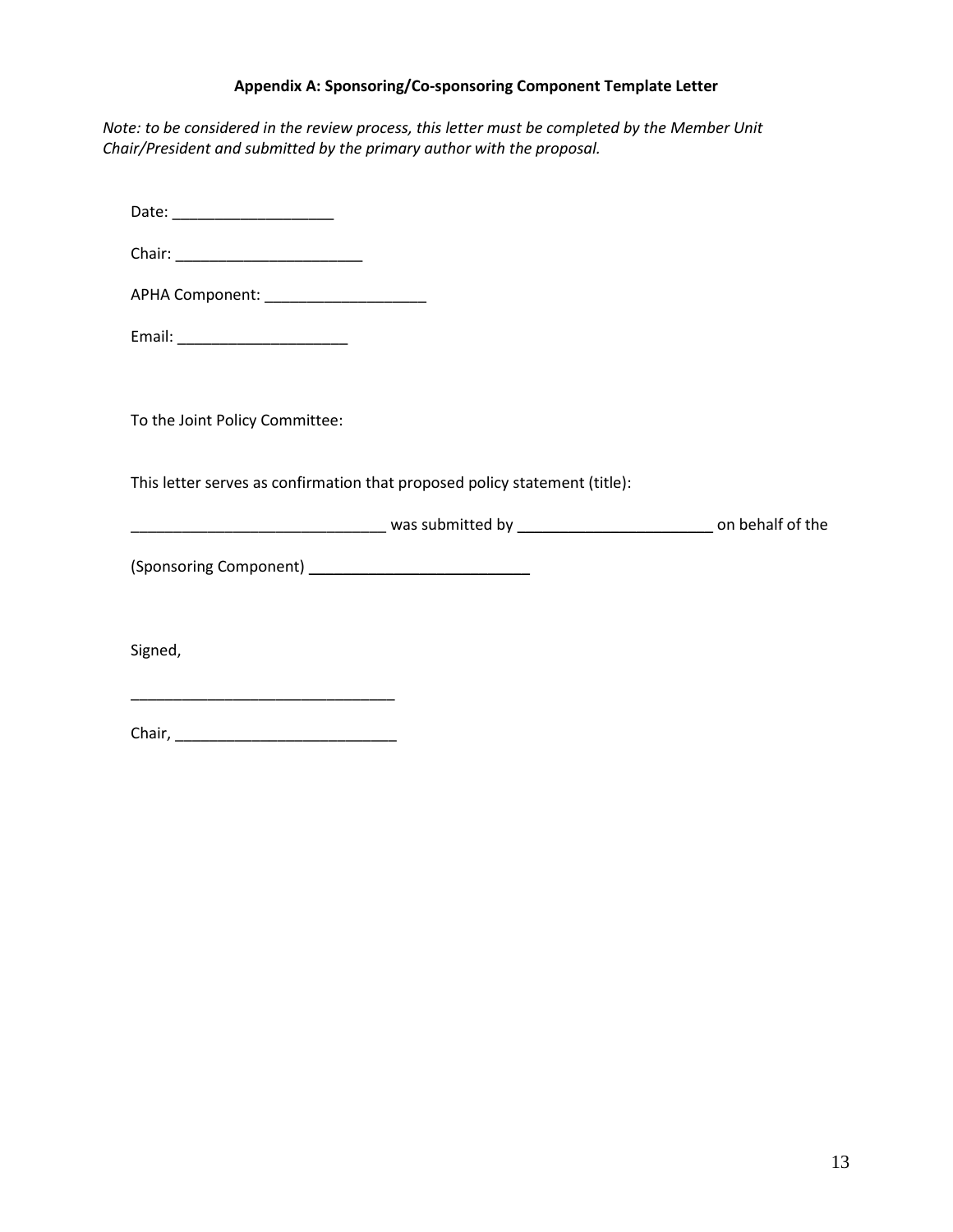# **Appendix A: Sponsoring/Co-sponsoring Component Template Letter**

<span id="page-16-0"></span>*Note: to be considered in the review process, this letter must be completed by the Member Unit Chair/President and submitted by the primary author with the proposal.*

Date: \_\_\_\_\_\_\_\_\_\_\_\_\_\_\_\_\_\_\_

Chair: \_\_\_\_\_\_\_\_\_\_\_\_\_\_\_\_\_\_\_\_\_\_

APHA Component: \_\_\_\_\_\_\_\_\_\_\_\_\_\_\_\_\_\_\_

Email: \_\_\_\_\_\_\_\_\_\_\_\_\_\_\_\_\_\_\_\_

To the Joint Policy Committee:

This letter serves as confirmation that proposed policy statement (title):

\_\_\_\_\_\_\_\_\_\_\_\_\_\_\_\_\_\_\_\_\_\_\_\_\_\_\_\_\_\_ was submitted by \_\_\_\_\_\_\_\_\_\_\_\_\_\_\_\_\_\_\_\_\_\_\_ on behalf of the

(Sponsoring Component) \_\_\_\_\_\_\_\_\_\_\_\_\_\_\_\_\_\_\_\_\_\_\_\_\_\_

Signed,

Chair, \_\_\_\_\_\_\_\_\_\_\_\_\_\_\_\_\_\_\_\_\_\_\_\_\_\_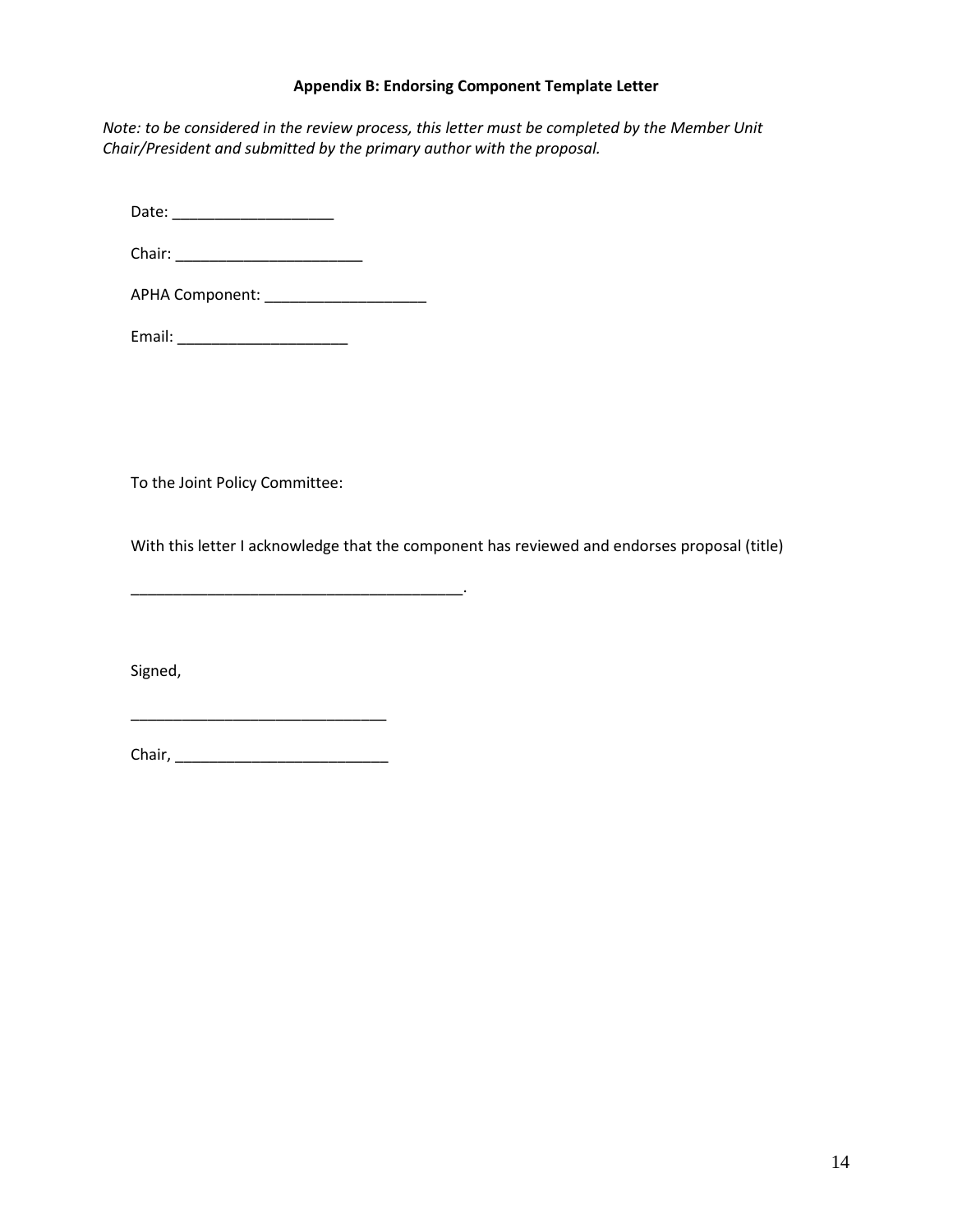# **Appendix B: Endorsing Component Template Letter**

<span id="page-17-0"></span>*Note: to be considered in the review process, this letter must be completed by the Member Unit Chair/President and submitted by the primary author with the proposal.* 

Date: \_\_\_\_\_\_\_\_\_\_\_\_\_\_\_\_\_\_\_

Chair: \_\_\_\_\_\_\_\_\_\_\_\_\_\_\_\_\_\_\_\_\_\_

APHA Component: \_\_\_\_\_\_\_\_\_\_\_\_\_\_\_\_\_\_\_

Email: \_\_\_\_\_\_\_\_\_\_\_\_\_\_\_\_\_\_\_\_

To the Joint Policy Committee:

With this letter I acknowledge that the component has reviewed and endorses proposal (title)

Signed,

Chair, \_\_\_\_\_\_\_\_\_\_\_\_\_\_\_\_\_\_\_\_\_\_\_\_\_

\_\_\_\_\_\_\_\_\_\_\_\_\_\_\_\_\_\_\_\_\_\_\_\_\_\_\_\_\_\_

\_\_\_\_\_\_\_\_\_\_\_\_\_\_\_\_\_\_\_\_\_\_\_\_\_\_\_\_\_\_\_\_\_\_\_\_\_\_\_.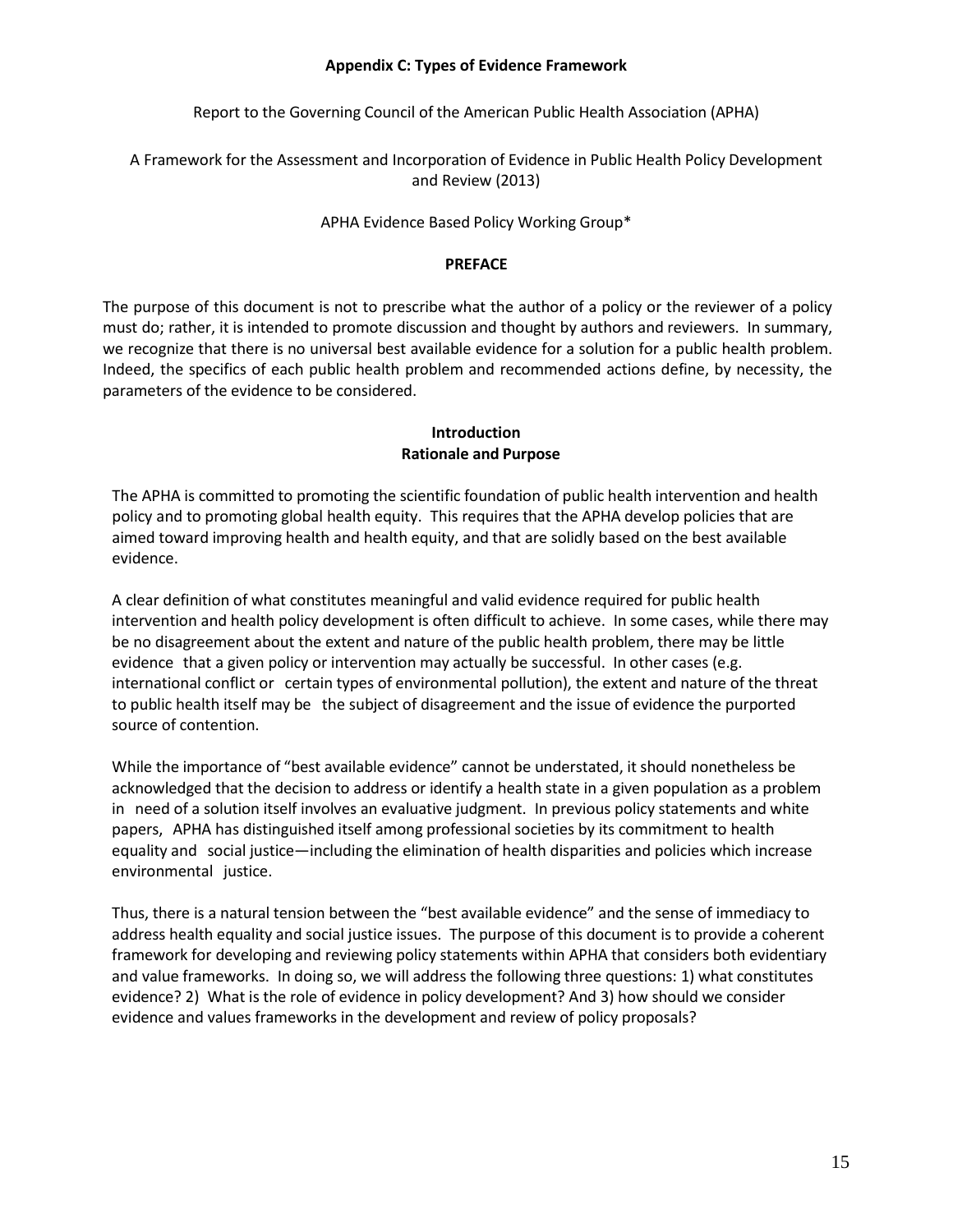## **Appendix C: Types of Evidence Framework**

Report to the Governing Council of the American Public Health Association (APHA)

<span id="page-18-0"></span>A Framework for the Assessment and Incorporation of Evidence in Public Health Policy Development and Review (2013)

## APHA Evidence Based Policy Working Group\*

#### **PREFACE**

The purpose of this document is not to prescribe what the author of a policy or the reviewer of a policy must do; rather, it is intended to promote discussion and thought by authors and reviewers. In summary, we recognize that there is no universal best available evidence for a solution for a public health problem. Indeed, the specifics of each public health problem and recommended actions define, by necessity, the parameters of the evidence to be considered.

# **Introduction Rationale and Purpose**

The APHA is committed to promoting the scientific foundation of public health intervention and health policy and to promoting global health equity. This requires that the APHA develop policies that are aimed toward improving health and health equity, and that are solidly based on the best available evidence.

A clear definition of what constitutes meaningful and valid evidence required for public health intervention and health policy development is often difficult to achieve. In some cases, while there may be no disagreement about the extent and nature of the public health problem, there may be little evidence that a given policy or intervention may actually be successful. In other cases (e.g. international conflict or certain types of environmental pollution), the extent and nature of the threat to public health itself may be the subject of disagreement and the issue of evidence the purported source of contention.

While the importance of "best available evidence" cannot be understated, it should nonetheless be acknowledged that the decision to address or identify a health state in a given population as a problem in need of a solution itself involves an evaluative judgment. In previous policy statements and white papers, APHA has distinguished itself among professional societies by its commitment to health equality and social justice—including the elimination of health disparities and policies which increase environmental justice.

Thus, there is a natural tension between the "best available evidence" and the sense of immediacy to address health equality and social justice issues. The purpose of this document is to provide a coherent framework for developing and reviewing policy statements within APHA that considers both evidentiary and value frameworks. In doing so, we will address the following three questions: 1) what constitutes evidence? 2) What is the role of evidence in policy development? And 3) how should we consider evidence and values frameworks in the development and review of policy proposals?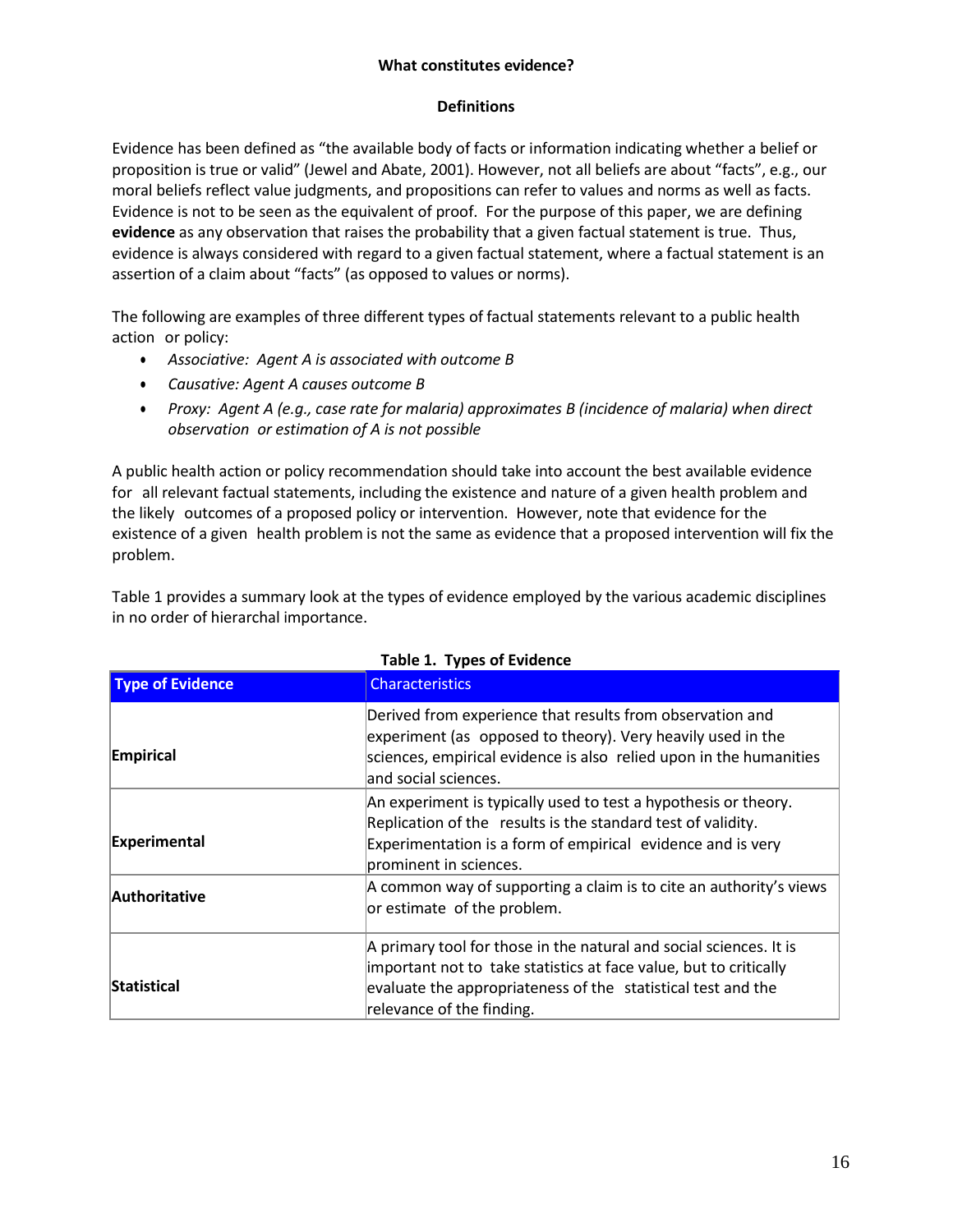# **Definitions**

<span id="page-19-1"></span><span id="page-19-0"></span>Evidence has been defined as "the available body of facts or information indicating whether a belief or proposition is true or valid" (Jewel and Abate, 2001). However, not all beliefs are about "facts", e.g., our moral beliefs reflect value judgments, and propositions can refer to values and norms as well as facts. Evidence is not to be seen as the equivalent of proof. For the purpose of this paper, we are defining **evidence** as any observation that raises the probability that a given factual statement is true. Thus, evidence is always considered with regard to a given factual statement, where a factual statement is an assertion of a claim about "facts" (as opposed to values or norms).

The following are examples of three different types of factual statements relevant to a public health action or policy:

- *Associative: Agent A is associated with outcome B*
- *Causative: Agent A causes outcome B*
- *Proxy: Agent A (e.g., case rate for malaria) approximates B (incidence of malaria) when direct observation or estimation of A is not possible*

A public health action or policy recommendation should take into account the best available evidence for all relevant factual statements, including the existence and nature of a given health problem and the likely outcomes of a proposed policy or intervention. However, note that evidence for the existence of a given health problem is not the same as evidence that a proposed intervention will fix the problem.

Table 1 provides a summary look at the types of evidence employed by the various academic disciplines in no order of hierarchal importance.

<span id="page-19-2"></span>

| <b>Type of Evidence</b> | <b>Characteristics</b>                                                                                                                                                                                                               |  |
|-------------------------|--------------------------------------------------------------------------------------------------------------------------------------------------------------------------------------------------------------------------------------|--|
| Empirical               | Derived from experience that results from observation and<br>experiment (as opposed to theory). Very heavily used in the<br>sciences, empirical evidence is also relied upon in the humanities<br>and social sciences.               |  |
| Experimental            | An experiment is typically used to test a hypothesis or theory.<br>Replication of the results is the standard test of validity.<br>Experimentation is a form of empirical evidence and is very<br>prominent in sciences.             |  |
| Authoritative           | A common way of supporting a claim is to cite an authority's views<br>or estimate of the problem.                                                                                                                                    |  |
| Statistical             | A primary tool for those in the natural and social sciences. It is<br>important not to take statistics at face value, but to critically<br>evaluate the appropriateness of the statistical test and the<br>relevance of the finding. |  |

# **Table 1. Types of Evidence**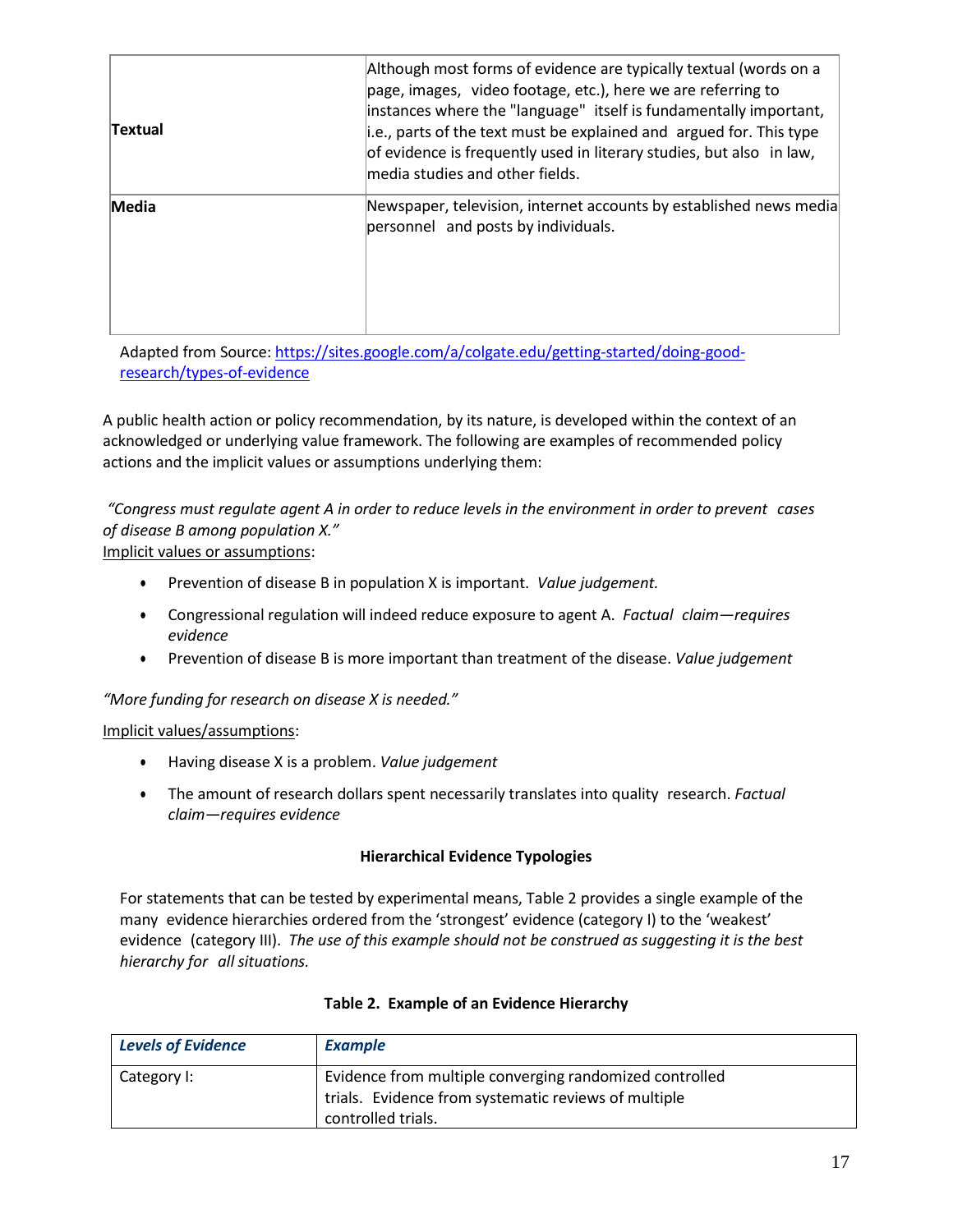| Textual | Although most forms of evidence are typically textual (words on a<br>page, images, video footage, etc.), here we are referring to<br>instances where the "language" itself is fundamentally important,<br>i.e., parts of the text must be explained and argued for. This type<br>of evidence is frequently used in literary studies, but also in law,<br>media studies and other fields. |
|---------|------------------------------------------------------------------------------------------------------------------------------------------------------------------------------------------------------------------------------------------------------------------------------------------------------------------------------------------------------------------------------------------|
| Media   | Newspaper, television, internet accounts by established news media<br>personnel and posts by individuals.                                                                                                                                                                                                                                                                                |

Adapted from Source: https://sites.google.com/a/colgate.edu/getting-started/doing-goodresearch/types-of-evidence

A public health action or policy recommendation, by its nature, is developed within the context of an acknowledged or underlying value framework. The following are examples of recommended policy actions and the implicit values or assumptions underlying them:

# *"Congress must regulate agent A in order to reduce levels in the environment in order to prevent cases of disease B among population X."*

Implicit values or assumptions:

- Prevention of disease B in population X is important. *Value judgement.*
- Congressional regulation will indeed reduce exposure to agent A. *Factual claim—requires evidence*
- Prevention of disease B is more important than treatment of the disease. *Value judgement*

*"More funding for research on disease X is needed."*

# Implicit values/assumptions:

- Having disease X is a problem. *Value judgement*
- The amount of research dollars spent necessarily translates into quality research. *Factual claim—requires evidence*

# **Hierarchical Evidence Typologies**

<span id="page-20-0"></span>For statements that can be tested by experimental means, Table 2 provides a single example of the many evidence hierarchies ordered from the 'strongest' evidence (category I) to the 'weakest' evidence (category III). *The use of this example should not be construed as suggesting it is the best hierarchy for all situations.*

<span id="page-20-1"></span>

| <b>Levels of Evidence</b> | <b>Example</b>                                                                                                                        |
|---------------------------|---------------------------------------------------------------------------------------------------------------------------------------|
| Category I:               | Evidence from multiple converging randomized controlled<br>trials. Evidence from systematic reviews of multiple<br>controlled trials. |

# **Table 2. Example of an Evidence Hierarchy**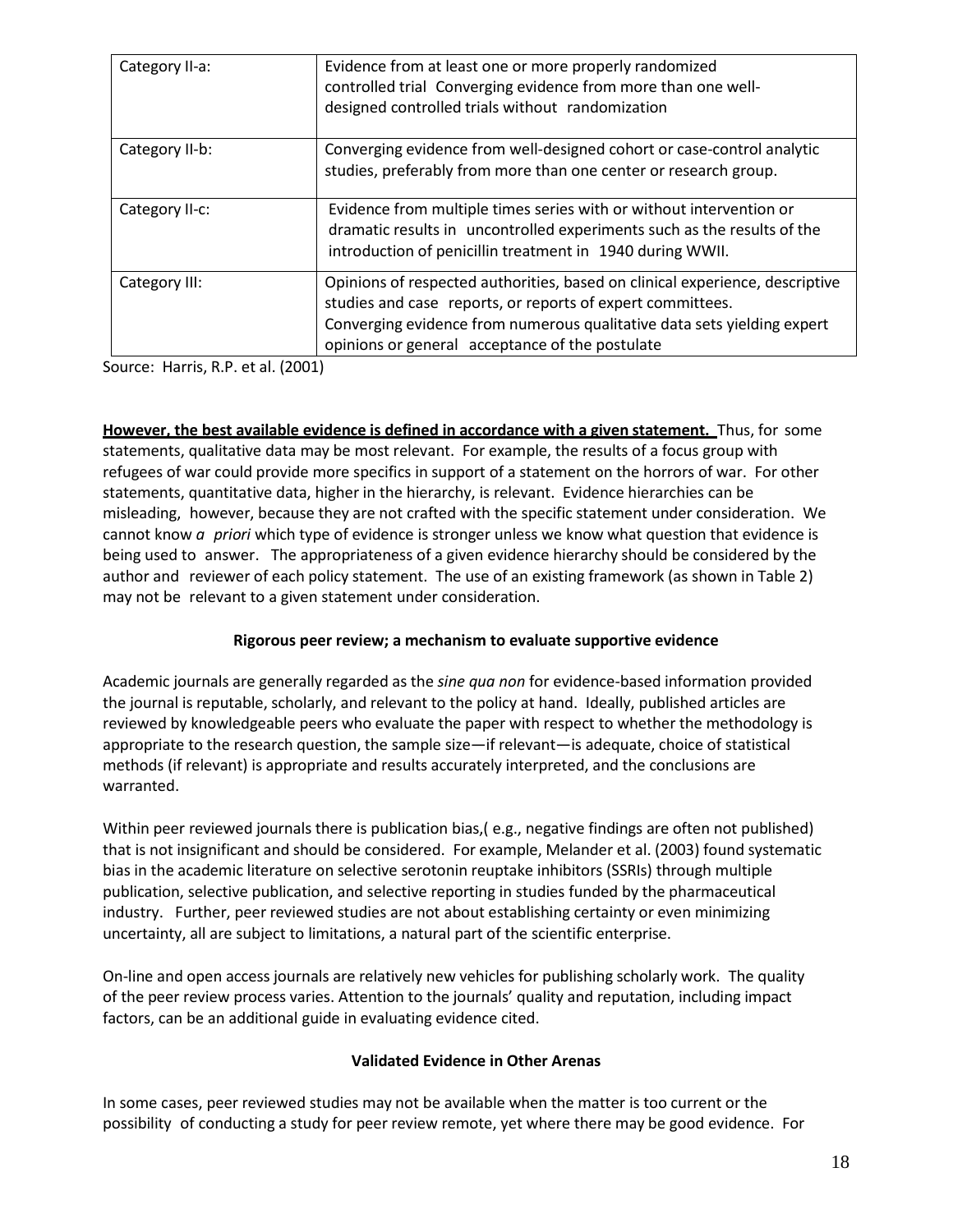| Category II-a: | Evidence from at least one or more properly randomized<br>controlled trial Converging evidence from more than one well-<br>designed controlled trials without randomization                                                                                              |
|----------------|--------------------------------------------------------------------------------------------------------------------------------------------------------------------------------------------------------------------------------------------------------------------------|
| Category II-b: | Converging evidence from well-designed cohort or case-control analytic<br>studies, preferably from more than one center or research group.                                                                                                                               |
| Category II-c: | Evidence from multiple times series with or without intervention or<br>dramatic results in uncontrolled experiments such as the results of the<br>introduction of penicillin treatment in 1940 during WWII.                                                              |
| Category III:  | Opinions of respected authorities, based on clinical experience, descriptive<br>studies and case reports, or reports of expert committees.<br>Converging evidence from numerous qualitative data sets yielding expert<br>opinions or general acceptance of the postulate |

Source: Harris, R.P. et al. (2001)

**However, the best available evidence is defined in accordance with a given statement.** Thus, for some statements, qualitative data may be most relevant. For example, the results of a focus group with refugees of war could provide more specifics in support of a statement on the horrors of war. For other statements, quantitative data, higher in the hierarchy, is relevant. Evidence hierarchies can be misleading, however, because they are not crafted with the specific statement under consideration. We cannot know *a priori* which type of evidence is stronger unless we know what question that evidence is being used to answer. The appropriateness of a given evidence hierarchy should be considered by the author and reviewer of each policy statement. The use of an existing framework (as shown in Table 2) may not be relevant to a given statement under consideration.

# **Rigorous peer review; a mechanism to evaluate supportive evidence**

<span id="page-21-0"></span>Academic journals are generally regarded as the *sine qua non* for evidence-based information provided the journal is reputable, scholarly, and relevant to the policy at hand. Ideally, published articles are reviewed by knowledgeable peers who evaluate the paper with respect to whether the methodology is appropriate to the research question, the sample size—if relevant—is adequate, choice of statistical methods (if relevant) is appropriate and results accurately interpreted, and the conclusions are warranted.

Within peer reviewed journals there is publication bias,( e.g., negative findings are often not published) that is not insignificant and should be considered. For example, Melander et al. (2003) found systematic bias in the academic literature on selective serotonin reuptake inhibitors (SSRIs) through multiple publication, selective publication, and selective reporting in studies funded by the pharmaceutical industry. Further, peer reviewed studies are not about establishing certainty or even minimizing uncertainty, all are subject to limitations, a natural part of the scientific enterprise.

On-line and open access journals are relatively new vehicles for publishing scholarly work. The quality of the peer review process varies. Attention to the journals' quality and reputation, including impact factors, can be an additional guide in evaluating evidence cited.

# **Validated Evidence in Other Arenas**

In some cases, peer reviewed studies may not be available when the matter is too current or the possibility of conducting a study for peer review remote, yet where there may be good evidence. For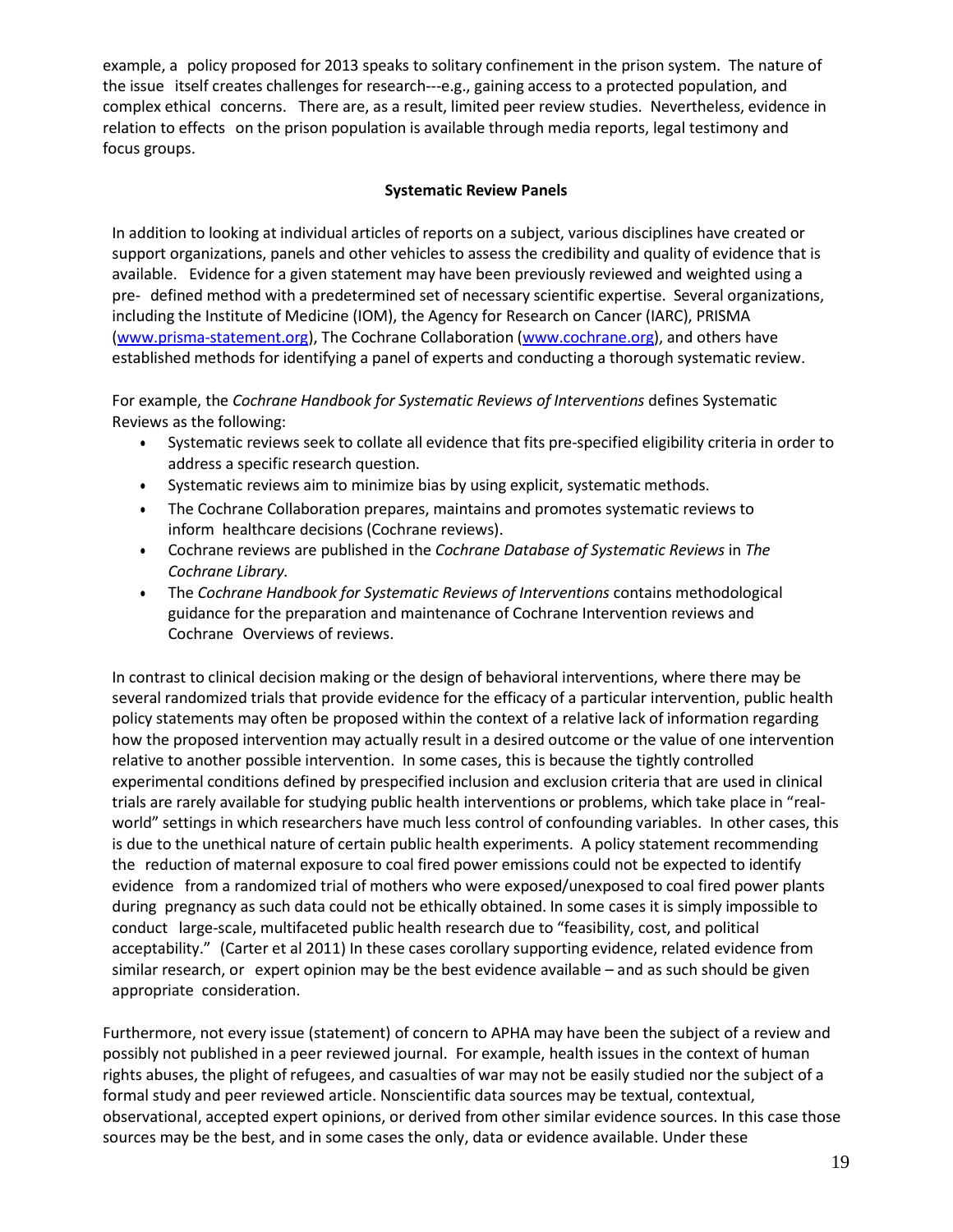example, a policy proposed for 2013 speaks to solitary confinement in the prison system. The nature of the issue itself creates challenges for research---e.g., gaining access to a protected population, and complex ethical concerns. There are, as a result, limited peer review studies. Nevertheless, evidence in relation to effects on the prison population is available through media reports, legal testimony and focus groups.

# **Systematic Review Panels**

<span id="page-22-0"></span>In addition to looking at individual articles of reports on a subject, various disciplines have created or support organizations, panels and other vehicles to assess the credibility and quality of evidence that is available. Evidence for a given statement may have been previously reviewed and weighted using a pre- defined method with a predetermined set of necessary scientific expertise. Several organizations, including the Institute of Medicine (IOM), the Agency for Research on Cancer (IARC), PRISMA [\(www.prisma-statement.org\)](http://www.prisma-statement.org/), The Cochrane Collaboration [\(www.cochrane.org\)](http://www.cochrane.org/), and others have established methods for identifying a panel of experts and conducting a thorough systematic review.

For example, the *Cochrane Handbook for Systematic Reviews of Interventions* defines Systematic Reviews as the following:

- Systematic reviews seek to collate all evidence that fits pre-specified eligibility criteria in order to address a specific research question.
- Systematic reviews aim to minimize bias by using explicit, systematic methods.
- The Cochrane Collaboration prepares, maintains and promotes systematic reviews to inform healthcare decisions (Cochrane reviews).
- Cochrane reviews are published in the *Cochrane Database of Systematic Reviews* in *The Cochrane Library.*
- The *Cochrane Handbook for Systematic Reviews of Interventions* contains methodological guidance for the preparation and maintenance of Cochrane Intervention reviews and Cochrane Overviews of reviews.

In contrast to clinical decision making or the design of behavioral interventions, where there may be several randomized trials that provide evidence for the efficacy of a particular intervention, public health policy statements may often be proposed within the context of a relative lack of information regarding how the proposed intervention may actually result in a desired outcome or the value of one intervention relative to another possible intervention. In some cases, this is because the tightly controlled experimental conditions defined by prespecified inclusion and exclusion criteria that are used in clinical trials are rarely available for studying public health interventions or problems, which take place in "realworld" settings in which researchers have much less control of confounding variables. In other cases, this is due to the unethical nature of certain public health experiments. A policy statement recommending the reduction of maternal exposure to coal fired power emissions could not be expected to identify evidence from a randomized trial of mothers who were exposed/unexposed to coal fired power plants during pregnancy as such data could not be ethically obtained. In some cases it is simply impossible to conduct large-scale, multifaceted public health research due to "feasibility, cost, and political acceptability." (Carter et al 2011) In these cases corollary supporting evidence, related evidence from similar research, or expert opinion may be the best evidence available – and as such should be given appropriate consideration.

Furthermore, not every issue (statement) of concern to APHA may have been the subject of a review and possibly not published in a peer reviewed journal. For example, health issues in the context of human rights abuses, the plight of refugees, and casualties of war may not be easily studied nor the subject of a formal study and peer reviewed article. Nonscientific data sources may be textual, contextual, observational, accepted expert opinions, or derived from other similar evidence sources. In this case those sources may be the best, and in some cases the only, data or evidence available. Under these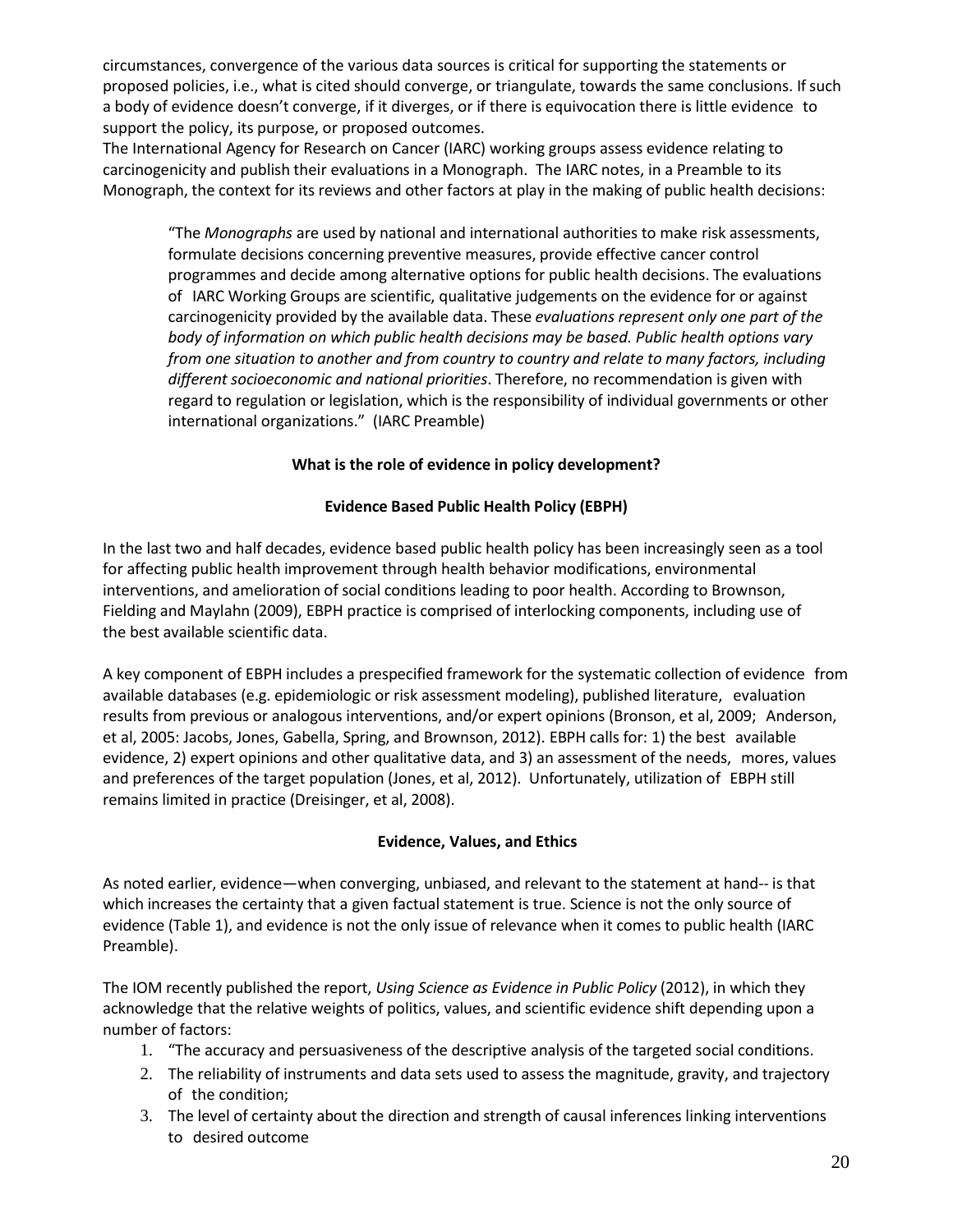circumstances, convergence of the various data sources is critical for supporting the statements or proposed policies, i.e., what is cited should converge, or triangulate, towards the same conclusions. If such a body of evidence doesn't converge, if it diverges, or if there is equivocation there is little evidence to support the policy, its purpose, or proposed outcomes.

The International Agency for Research on Cancer (IARC) working groups assess evidence relating to carcinogenicity and publish their evaluations in a Monograph. The IARC notes, in a Preamble to its Monograph, the context for its reviews and other factors at play in the making of public health decisions:

"The *Monographs* are used by national and international authorities to make risk assessments, formulate decisions concerning preventive measures, provide effective cancer control programmes and decide among alternative options for public health decisions. The evaluations of IARC Working Groups are scientific, qualitative judgements on the evidence for or against carcinogenicity provided by the available data. These *evaluations represent only one part of the body of information on which public health decisions may be based. Public health options vary from one situation to another and from country to country and relate to many factors, including different socioeconomic and national priorities*. Therefore, no recommendation is given with regard to regulation or legislation, which is the responsibility of individual governments or other international organizations." (IARC Preamble)

# **What is the role of evidence in policy development?**

# **Evidence Based Public Health Policy (EBPH)**

<span id="page-23-0"></span>In the last two and half decades, evidence based public health policy has been increasingly seen as a tool for affecting public health improvement through health behavior modifications, environmental interventions, and amelioration of social conditions leading to poor health. According to Brownson, Fielding and Maylahn (2009), EBPH practice is comprised of interlocking components, including use of the best available scientific data.

A key component of EBPH includes a prespecified framework for the systematic collection of evidence from available databases (e.g. epidemiologic or risk assessment modeling), published literature, evaluation results from previous or analogous interventions, and/or expert opinions (Bronson, et al, 2009; Anderson, et al, 2005: Jacobs, Jones, Gabella, Spring, and Brownson, 2012). EBPH calls for: 1) the best available evidence, 2) expert opinions and other qualitative data, and 3) an assessment of the needs, mores, values and preferences of the target population (Jones, et al, 2012). Unfortunately, utilization of EBPH still remains limited in practice (Dreisinger, et al, 2008).

# **Evidence, Values, and Ethics**

As noted earlier, evidence—when converging, unbiased, and relevant to the statement at hand-- is that which increases the certainty that a given factual statement is true. Science is not the only source of evidence (Table 1), and evidence is not the only issue of relevance when it comes to public health (IARC Preamble).

The IOM recently published the report, *Using Science as Evidence in Public Policy* (2012), in which they acknowledge that the relative weights of politics, values, and scientific evidence shift depending upon a number of factors:

- 1. "The accuracy and persuasiveness of the descriptive analysis of the targeted social conditions.
- 2. The reliability of instruments and data sets used to assess the magnitude, gravity, and trajectory of the condition;
- 3. The level of certainty about the direction and strength of causal inferences linking interventions to desired outcome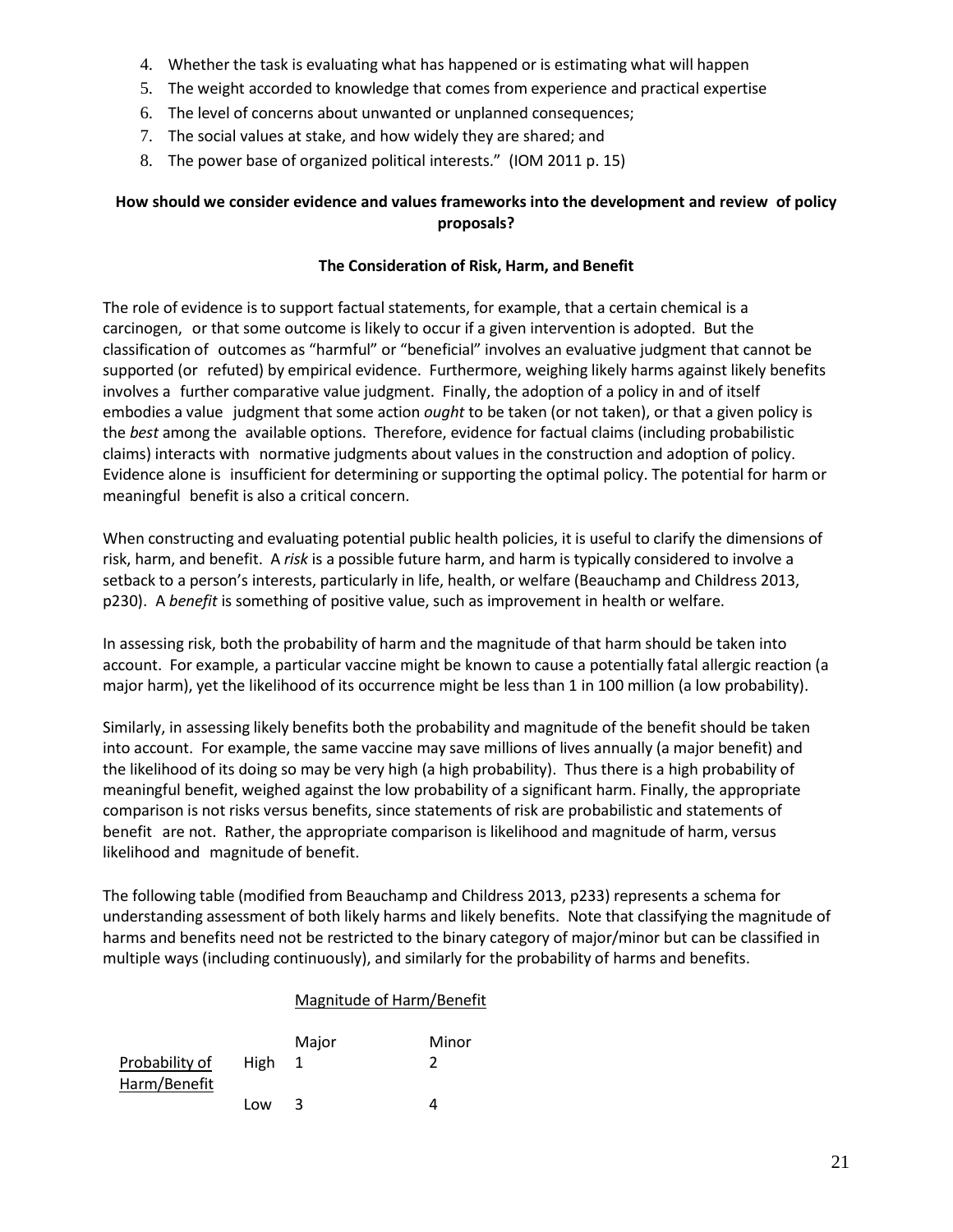- 4. Whether the task is evaluating what has happened or is estimating what will happen
- 5. The weight accorded to knowledge that comes from experience and practical expertise
- 6. The level of concerns about unwanted or unplanned consequences;
- 7. The social values at stake, and how widely they are shared; and
- 8. The power base of organized political interests." (IOM 2011 p. 15)

# <span id="page-24-0"></span>**How should we consider evidence and values frameworks into the development and review of policy proposals?**

# **The Consideration of Risk, Harm, and Benefit**

The role of evidence is to support factual statements, for example, that a certain chemical is a carcinogen, or that some outcome is likely to occur if a given intervention is adopted. But the classification of outcomes as "harmful" or "beneficial" involves an evaluative judgment that cannot be supported (or refuted) by empirical evidence. Furthermore, weighing likely harms against likely benefits involves a further comparative value judgment. Finally, the adoption of a policy in and of itself embodies a value judgment that some action *ought* to be taken (or not taken), or that a given policy is the *best* among the available options. Therefore, evidence for factual claims (including probabilistic claims) interacts with normative judgments about values in the construction and adoption of policy. Evidence alone is insufficient for determining or supporting the optimal policy. The potential for harm or meaningful benefit is also a critical concern.

When constructing and evaluating potential public health policies, it is useful to clarify the dimensions of risk, harm, and benefit. A *risk* is a possible future harm, and harm is typically considered to involve a setback to a person's interests, particularly in life, health, or welfare (Beauchamp and Childress 2013, p230). A *benefit* is something of positive value, such as improvement in health or welfare.

In assessing risk, both the probability of harm and the magnitude of that harm should be taken into account. For example, a particular vaccine might be known to cause a potentially fatal allergic reaction (a major harm), yet the likelihood of its occurrence might be less than 1 in 100 million (a low probability).

Similarly, in assessing likely benefits both the probability and magnitude of the benefit should be taken into account. For example, the same vaccine may save millions of lives annually (a major benefit) and the likelihood of its doing so may be very high (a high probability). Thus there is a high probability of meaningful benefit, weighed against the low probability of a significant harm. Finally, the appropriate comparison is not risks versus benefits, since statements of risk are probabilistic and statements of benefit are not. Rather, the appropriate comparison is likelihood and magnitude of harm, versus likelihood and magnitude of benefit.

The following table (modified from Beauchamp and Childress 2013, p233) represents a schema for understanding assessment of both likely harms and likely benefits. Note that classifying the magnitude of harms and benefits need not be restricted to the binary category of major/minor but can be classified in multiple ways (including continuously), and similarly for the probability of harms and benefits.

# Magnitude of Harm/Benefit

|                |      | Major | Minor |
|----------------|------|-------|-------|
| Probability of | High |       |       |
| Harm/Benefit   |      |       |       |
|                | Low  | २     |       |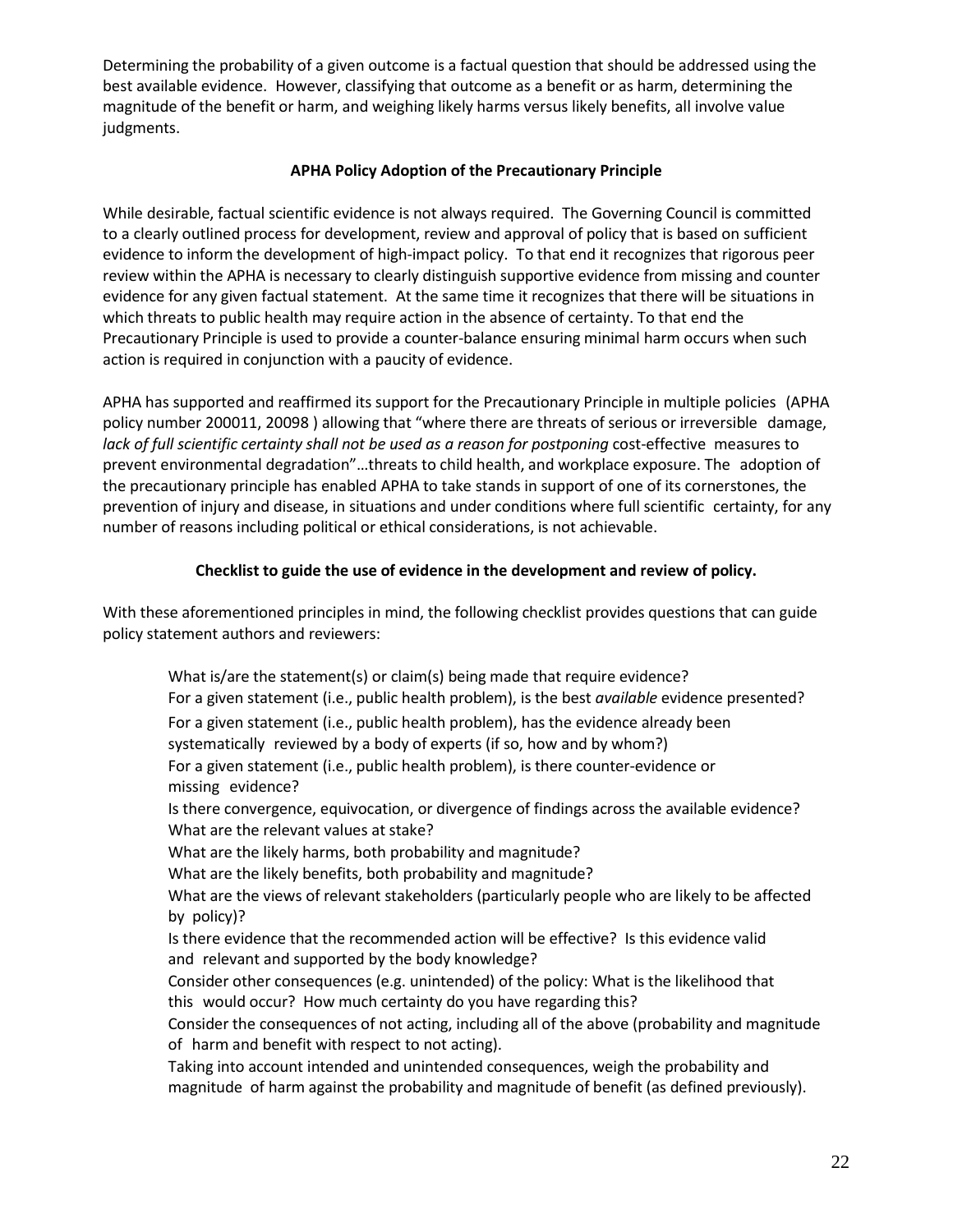Determining the probability of a given outcome is a factual question that should be addressed using the best available evidence. However, classifying that outcome as a benefit or as harm, determining the magnitude of the benefit or harm, and weighing likely harms versus likely benefits, all involve value judgments.

# **APHA Policy Adoption of the Precautionary Principle**

<span id="page-25-0"></span>While desirable, factual scientific evidence is not always required. The Governing Council is committed to a clearly outlined process for development, review and approval of policy that is based on sufficient evidence to inform the development of high-impact policy. To that end it recognizes that rigorous peer review within the APHA is necessary to clearly distinguish supportive evidence from missing and counter evidence for any given factual statement. At the same time it recognizes that there will be situations in which threats to public health may require action in the absence of certainty. To that end the Precautionary Principle is used to provide a counter-balance ensuring minimal harm occurs when such action is required in conjunction with a paucity of evidence.

APHA has supported and reaffirmed its support for the Precautionary Principle in multiple policies (APHA policy number 200011, 20098 ) allowing that "where there are threats of serious or irreversible damage, *lack of full scientific certainty shall not be used as a reason for postponing* cost-effective measures to prevent environmental degradation"…threats to child health, and workplace exposure. The adoption of the precautionary principle has enabled APHA to take stands in support of one of its cornerstones, the prevention of injury and disease, in situations and under conditions where full scientific certainty, for any number of reasons including political or ethical considerations, is not achievable.

# **Checklist to guide the use of evidence in the development and review of policy.**

<span id="page-25-1"></span>With these aforementioned principles in mind, the following checklist provides questions that can guide policy statement authors and reviewers:

What is/are the statement(s) or claim(s) being made that require evidence? For a given statement (i.e., public health problem), is the best *available* evidence presented? For a given statement (i.e., public health problem), has the evidence already been systematically reviewed by a body of experts (if so, how and by whom?) For a given statement (i.e., public health problem), is there counter-evidence or missing evidence? Is there convergence, equivocation, or divergence of findings across the available evidence? What are the relevant values at stake? What are the likely harms, both probability and magnitude? What are the likely benefits, both probability and magnitude? What are the views of relevant stakeholders (particularly people who are likely to be affected by policy)? Is there evidence that the recommended action will be effective? Is this evidence valid and relevant and supported by the body knowledge? Consider other consequences (e.g. unintended) of the policy: What is the likelihood that this would occur? How much certainty do you have regarding this? Consider the consequences of not acting, including all of the above (probability and magnitude of harm and benefit with respect to not acting). Taking into account intended and unintended consequences, weigh the probability and magnitude of harm against the probability and magnitude of benefit (as defined previously).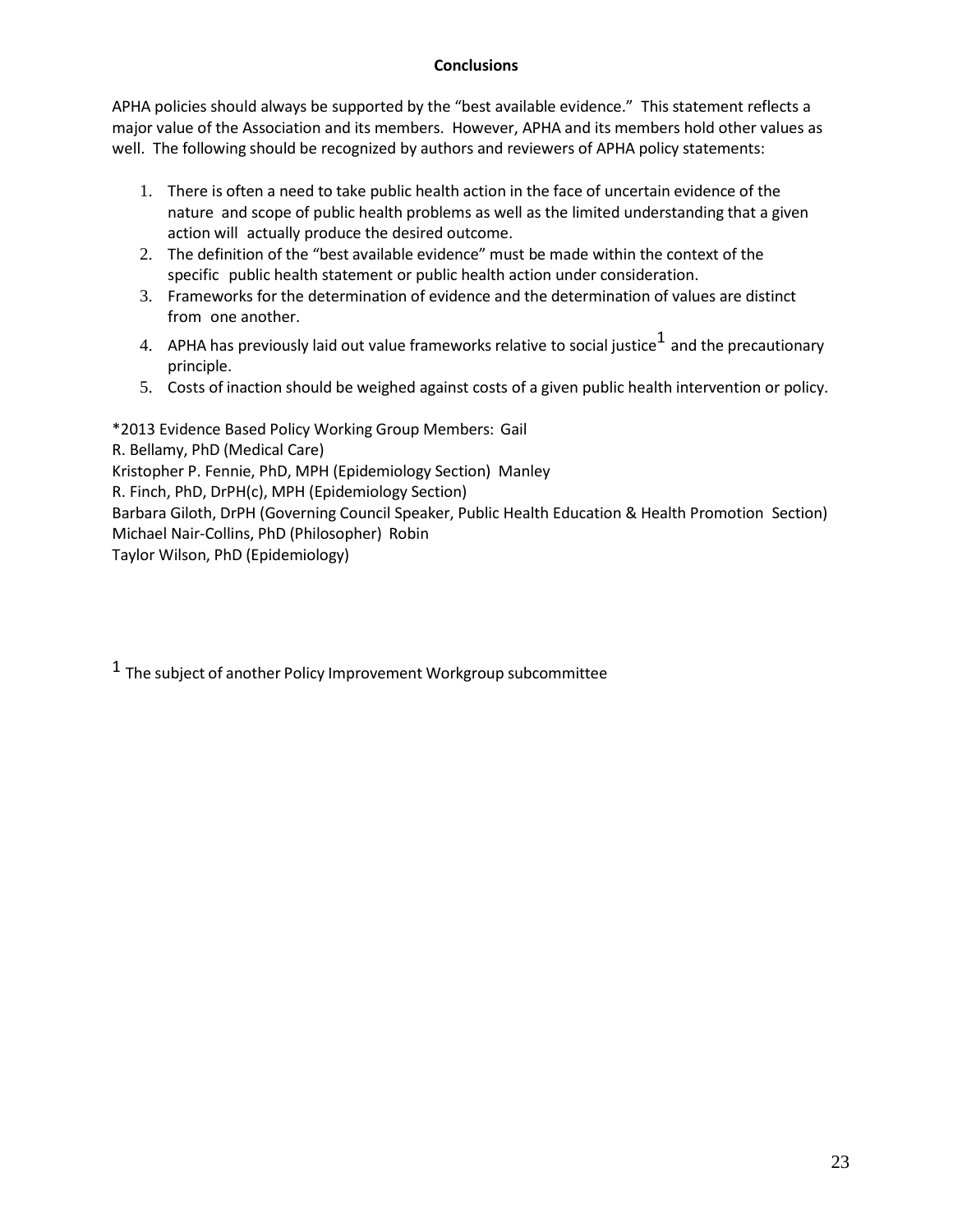# **Conclusions**

APHA policies should always be supported by the "best available evidence." This statement reflects a major value of the Association and its members. However, APHA and its members hold other values as well. The following should be recognized by authors and reviewers of APHA policy statements:

- 1. There is often a need to take public health action in the face of uncertain evidence of the nature and scope of public health problems as well as the limited understanding that a given action will actually produce the desired outcome.
- 2. The definition of the "best available evidence" must be made within the context of the specific public health statement or public health action under consideration.
- 3. Frameworks for the determination of evidence and the determination of values are distinct from one another.
- 4. APHA has previously laid out value frameworks relative to social justice $^1$  $^1$  and the precautionary principle.
- 5. Costs of inaction should be weighed against costs of a given public health intervention or policy.

\*2013 Evidence Based Policy Working Group Members: Gail R. Bellamy, PhD (Medical Care) Kristopher P. Fennie, PhD, MPH (Epidemiology Section) Manley R. Finch, PhD, DrPH(c), MPH (Epidemiology Section) Barbara Giloth, DrPH (Governing Council Speaker, Public Health Education & Health Promotion Section) Michael Nair-Collins, PhD (Philosopher) Robin Taylor Wilson, PhD (Epidemiology)

<span id="page-26-0"></span> $^1$  The subject of another Policy Improvement Workgroup subcommittee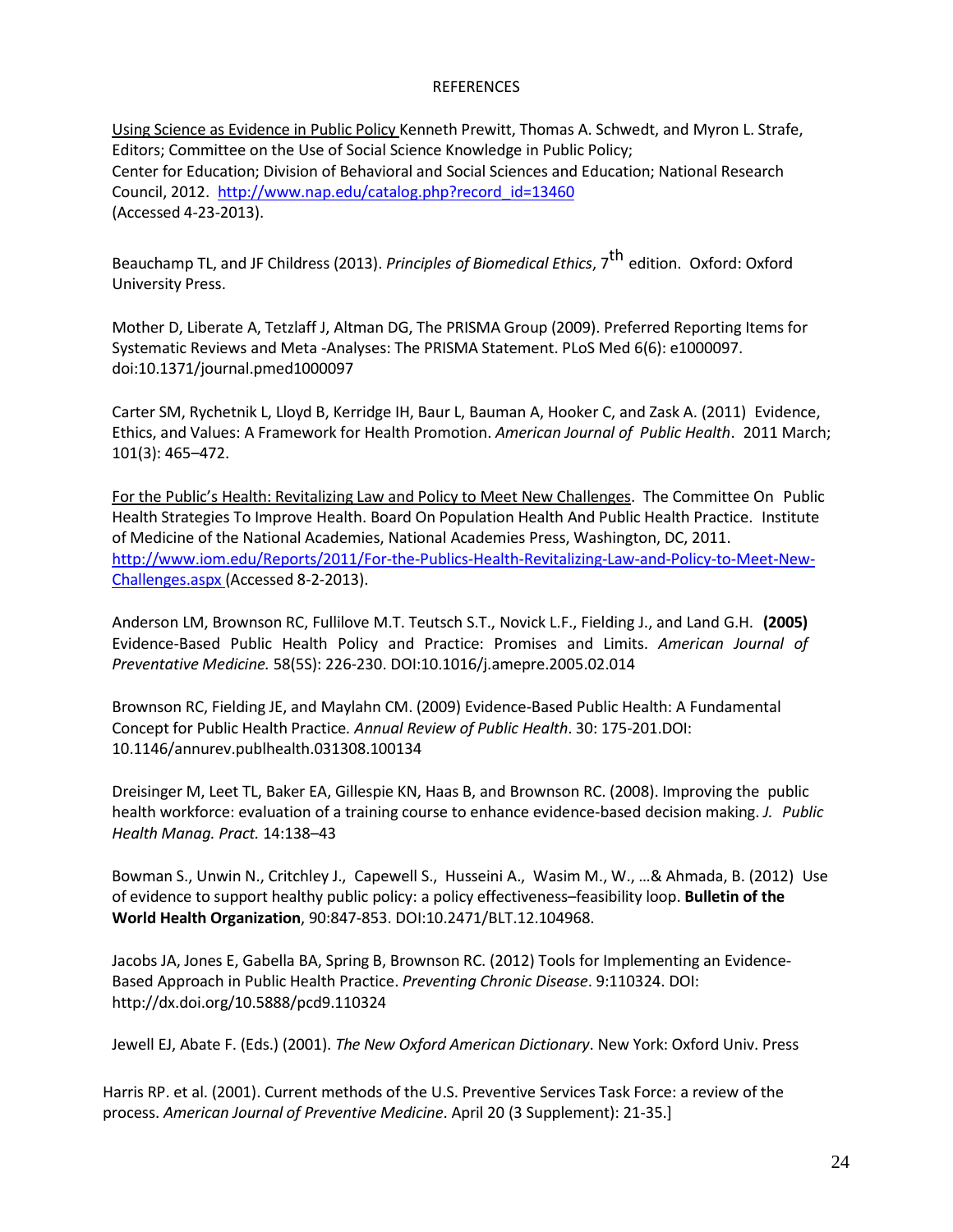#### **REFERENCES**

Using Science as Evidence in Public Policy Kenneth Prewitt, Thomas A. Schwedt, and Myron L. Strafe, Editors; Committee on the Use of Social Science Knowledge in Public Policy; Center for Education; Division of Behavioral and Social Sciences and Education; National Research Council, 2012. [http://www.nap.edu/catalog.php?record\\_id=13460](http://www.nap.edu/catalog.php?record_id=13460) (Accessed 4-23-2013).

Beauchamp TL, and JF Childress (2013). *Principles of Biomedical Ethics*, 7 th edition. Oxford: Oxford University Press.

Mother D, Liberate A, Tetzlaff J, Altman DG, The PRISMA Group (2009). Preferred Reporting Items for Systematic Reviews and Meta -Analyses: The PRISMA Statement. PLoS Med 6(6): e1000097. doi:10.1371/journal.pmed1000097

Carter SM, Rychetnik L, Lloyd B, Kerridge IH, Baur L, Bauman A, Hooker C, and Zask A. (2011) Evidence, Ethics, and Values: A Framework for Health Promotion. *American Journal of Public Health*. 2011 March; 101(3): 465–472.

For the Public's Health: Revitalizing Law and Policy to Meet New Challenges. The Committee On Public Health Strategies To Improve Health. Board On Population Health And Public Health Practice. Institute of Medicine of the National Academies, National Academies Press, Washington, DC, 2011. [http://www.iom.edu/Reports/2011/For-the-Publics-Health-Revitalizing-Law-and-Policy-to-Meet-New-](http://www.iom.edu/Reports/2011/For-the-Publics-Health-Revitalizing-Law-and-Policy-to-Meet-New-Challenges.aspx)[Challenges.aspx \(](http://www.iom.edu/Reports/2011/For-the-Publics-Health-Revitalizing-Law-and-Policy-to-Meet-New-Challenges.aspx)Accessed 8-2-2013).

Anderson LM, Brownson RC, Fullilove M.T. Teutsch S.T., Novick L.F., Fielding J., and Land G.H. **(2005)** Evidence-Based Public Health Policy and Practice: Promises and Limits. *American Journal of Preventative Medicine.* 58(5S): 226-230. DOI:10.1016/j.amepre.2005.02.014

Brownson RC, Fielding JE, and Maylahn CM. (2009) Evidence-Based Public Health: A Fundamental Concept for Public Health Practice*. Annual Review of Public Health*. 30: 175-201.DOI: 10.1146/annurev.publhealth.031308.100134

Dreisinger M, Leet TL, Baker EA, Gillespie KN, Haas B, and Brownson RC. (2008). Improving the public health workforce: evaluation of a training course to enhance evidence-based decision making. *J. Public Health Manag. Pract.* 14:138–43

Bowman S., Unwin N., Critchley J., Capewell S., Husseini A., Wasim M., W., …& Ahmada, B. (2012) Use of evidence to support healthy public policy: a policy effectiveness–feasibility loop. **Bulletin of the World Health Organization**, 90:847-853. DOI:10.2471/BLT.12.104968.

Jacobs JA, Jones E, Gabella BA, Spring B, Brownson RC. (2012) Tools for Implementing an Evidence-Based Approach in Public Health Practice. *Preventing Chronic Disease*. 9:110324. DOI[:](http://dx.doi.org/10.5888/pcd9.110324) <http://dx.doi.org/10.5888/pcd9.110324>

Jewell EJ, Abate F. (Eds.) (2001). *The New Oxford American Dictionary*. New York: Oxford Univ. Press

Harris RP. et al. (2001). Current methods of the U.S. Preventive Services Task Force: a review of the process. *American Journal of Preventive Medicine*. April 20 (3 Supplement): 21-35.]